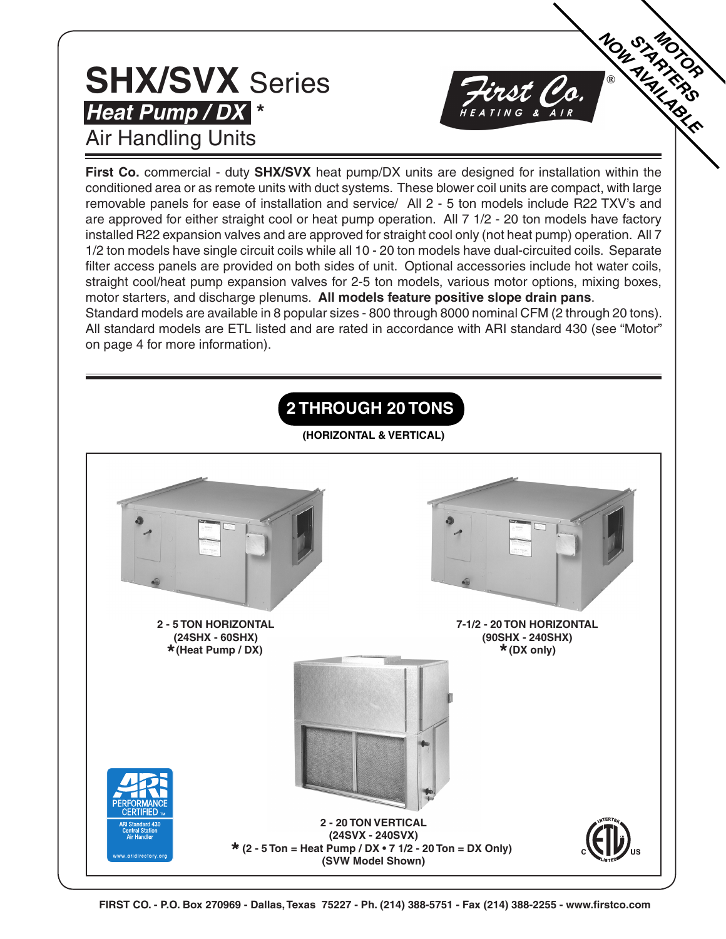#### **SHX/SVX** Series **Heat Pump / DX \*** Air Handling Units

**First Co.** commercial - duty **SHX/SVX** heat pump/DX units are designed for installation within the conditioned area or as remote units with duct systems. These blower coil units are compact, with large removable panels for ease of installation and service/ All 2 - 5 ton models include R22 TXV's and are approved for either straight cool or heat pump operation. All 7 1/2 - 20 ton models have factory installed R22 expansion valves and are approved for straight cool only (not heat pump) operation. All 7 1/2 ton models have single circuit coils while all 10 - 20 ton models have dual-circuited coils. Separate filter access panels are provided on both sides of unit. Optional accessories include hot water coils, straight cool/heat pump expansion valves for 2-5 ton models, various motor options, mixing boxes, motor starters, and discharge plenums. **All models feature positive slope drain pans**. Standard models are available in 8 popular sizes - 800 through 8000 nominal CFM (2 through 20 tons). All standard models are ETL listed and are rated in accordance with ARI standard 430 (see "Motor" on page 4 for more information).

**MONTRANDS** 

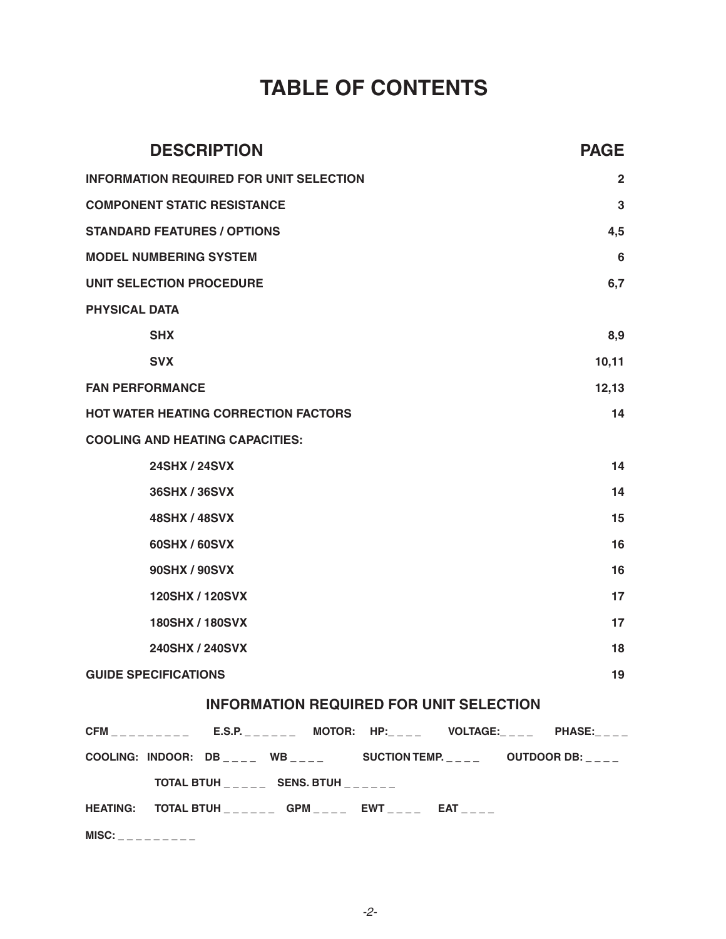#### **TABLE OF CONTENTS**

| <b>DESCRIPTION</b>                                                                  | <b>PAGE</b>  |
|-------------------------------------------------------------------------------------|--------------|
| <b>INFORMATION REQUIRED FOR UNIT SELECTION</b>                                      | $\mathbf{2}$ |
| <b>COMPONENT STATIC RESISTANCE</b>                                                  | 3            |
| <b>STANDARD FEATURES / OPTIONS</b>                                                  | 4,5          |
| <b>MODEL NUMBERING SYSTEM</b>                                                       | 6            |
| UNIT SELECTION PROCEDURE                                                            | 6,7          |
| <b>PHYSICAL DATA</b>                                                                |              |
| <b>SHX</b>                                                                          | 8,9          |
| <b>SVX</b>                                                                          | 10,11        |
| <b>FAN PERFORMANCE</b>                                                              | 12,13        |
| <b>HOT WATER HEATING CORRECTION FACTORS</b>                                         | 14           |
| <b>COOLING AND HEATING CAPACITIES:</b>                                              |              |
| <b>24SHX / 24SVX</b>                                                                | 14           |
| 36SHX / 36SVX                                                                       | 14           |
| <b>48SHX / 48SVX</b>                                                                | 15           |
| 60SHX / 60SVX                                                                       | 16           |
| 90SHX / 90SVX                                                                       | 16           |
| 120SHX / 120SVX                                                                     | 17           |
| <b>180SHX/180SVX</b>                                                                | 17           |
| 240SHX / 240SVX                                                                     | 18           |
| <b>GUIDE SPECIFICATIONS</b>                                                         | 19           |
| <b>INFORMATION REQUIRED FOR UNIT SELECTION</b>                                      |              |
| $CFM$ <sub>________</sub> ___ E.S.P._______ MOTOR: HP:_____ VOLTAGE:____ PHASE:____ |              |
| COOLING: INDOOR: DB _ _ _ WB _ _ _ _ SUCTION TEMP. _ _ _ _ OUTDOOR DB: _ _ _ _      |              |
| TOTAL BTUH _____ SENS. BTUH ______                                                  |              |
| HEATING: TOTAL BTUH ______ GPM ____ EWT ____ EAT ____                               |              |
| $MISC:$ _ _ _ _ _ _ _ _ _                                                           |              |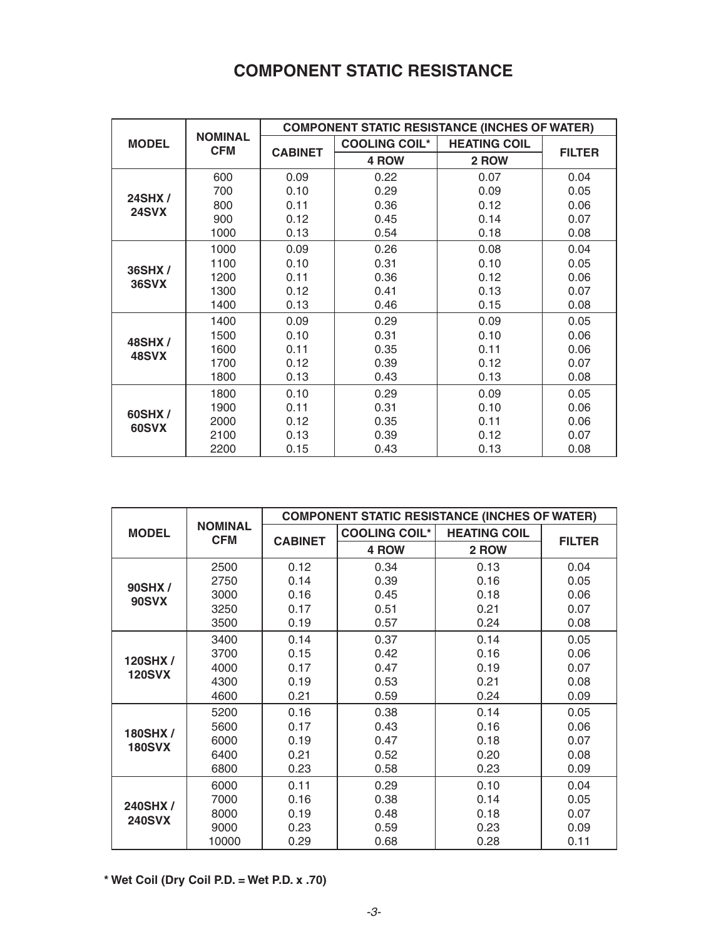#### **COMPONENT STATIC RESISTANCE**

|               |                              |                |                      | <b>COMPONENT STATIC RESISTANCE (INCHES OF WATER)</b> |               |
|---------------|------------------------------|----------------|----------------------|------------------------------------------------------|---------------|
| <b>MODEL</b>  | <b>NOMINAL</b><br><b>CFM</b> | <b>CABINET</b> | <b>COOLING COIL*</b> | <b>HEATING COIL</b>                                  |               |
|               |                              |                | 4 ROW                | 2 ROW                                                | <b>FILTER</b> |
|               | 600                          | 0.09           | 0.22                 | 0.07                                                 | 0.04          |
| <b>24SHX/</b> | 700                          | 0.10           | 0.29                 | 0.09                                                 | 0.05          |
| <b>24SVX</b>  | 800                          | 0.11           | 0.36                 | 0.12                                                 | 0.06          |
|               | 900                          | 0.12           | 0.45                 | 0.14                                                 | 0.07          |
|               | 1000                         | 0.13           | 0.54                 | 0.18                                                 | 0.08          |
|               | 1000                         | 0.09           | 0.26                 | 0.08                                                 | 0.04          |
| 36SHX/        | 1100                         | 0.10           | 0.31                 | 0.10                                                 | 0.05          |
| <b>36SVX</b>  | 1200                         | 0.11           | 0.36                 | 0.12                                                 | 0.06          |
|               | 1300                         | 0.12           | 0.41                 | 0.13                                                 | 0.07          |
|               | 1400                         | 0.13           | 0.46                 | 0.15                                                 | 0.08          |
|               | 1400                         | 0.09           | 0.29                 | 0.09                                                 | 0.05          |
| 48SHX /       | 1500                         | 0.10           | 0.31                 | 0.10                                                 | 0.06          |
| 48SVX         | 1600                         | 0.11           | 0.35                 | 0.11                                                 | 0.06          |
|               | 1700                         | 0.12           | 0.39                 | 0.12                                                 | 0.07          |
|               | 1800                         | 0.13           | 0.43                 | 0.13                                                 | 0.08          |
|               | 1800                         | 0.10           | 0.29                 | 0.09                                                 | 0.05          |
| 60SHX /       | 1900                         | 0.11           | 0.31                 | 0.10                                                 | 0.06          |
| 60SVX         | 2000                         | 0.12           | 0.35                 | 0.11                                                 | 0.06          |
|               | 2100                         | 0.13           | 0.39                 | 0.12                                                 | 0.07          |
|               | 2200                         | 0.15           | 0.43                 | 0.13                                                 | 0.08          |

|               |                              |                |                      | <b>COMPONENT STATIC RESISTANCE (INCHES OF WATER)</b> |               |
|---------------|------------------------------|----------------|----------------------|------------------------------------------------------|---------------|
| <b>MODEL</b>  | <b>NOMINAL</b><br><b>CFM</b> |                | <b>COOLING COIL*</b> | <b>HEATING COIL</b>                                  |               |
|               |                              | <b>CABINET</b> | 4 ROW                | 2 ROW                                                | <b>FILTER</b> |
|               | 2500                         | 0.12           | 0.34                 | 0.13                                                 | 0.04          |
| 90SHX/        | 2750                         | 0.14           | 0.39                 | 0.16                                                 | 0.05          |
| <b>90SVX</b>  | 3000                         | 0.16           | 0.45                 | 0.18                                                 | 0.06          |
|               | 3250                         | 0.17           | 0.51                 | 0.21                                                 | 0.07          |
|               | 3500                         | 0.19           | 0.57                 | 0.24                                                 | 0.08          |
|               | 3400                         | 0.14           | 0.37                 | 0.14                                                 | 0.05          |
| 120SHX/       | 3700                         | 0.15           | 0.42                 | 0.16                                                 | 0.06          |
| <b>120SVX</b> | 4000                         | 0.17           | 0.47                 | 0.19                                                 | 0.07          |
|               | 4300                         | 0.19           | 0.53                 | 0.21                                                 | 0.08          |
|               | 4600                         | 0.21           | 0.59                 | 0.24                                                 | 0.09          |
|               | 5200                         | 0.16           | 0.38                 | 0.14                                                 | 0.05          |
| 180SHX/       | 5600                         | 0.17           | 0.43                 | 0.16                                                 | 0.06          |
| <b>180SVX</b> | 6000                         | 0.19           | 0.47                 | 0.18                                                 | 0.07          |
|               | 6400                         | 0.21           | 0.52                 | 0.20                                                 | 0.08          |
|               | 6800                         | 0.23           | 0.58                 | 0.23                                                 | 0.09          |
|               | 6000                         | 0.11           | 0.29                 | 0.10                                                 | 0.04          |
| 240SHX/       | 7000                         | 0.16           | 0.38                 | 0.14                                                 | 0.05          |
| <b>240SVX</b> | 8000                         | 0.19           | 0.48                 | 0.18                                                 | 0.07          |
|               | 9000                         | 0.23           | 0.59                 | 0.23                                                 | 0.09          |
|               | 10000                        | 0.29           | 0.68                 | 0.28                                                 | 0.11          |

**\* Wet Coil (Dry Coil P.D. = Wet P.D. x .70)**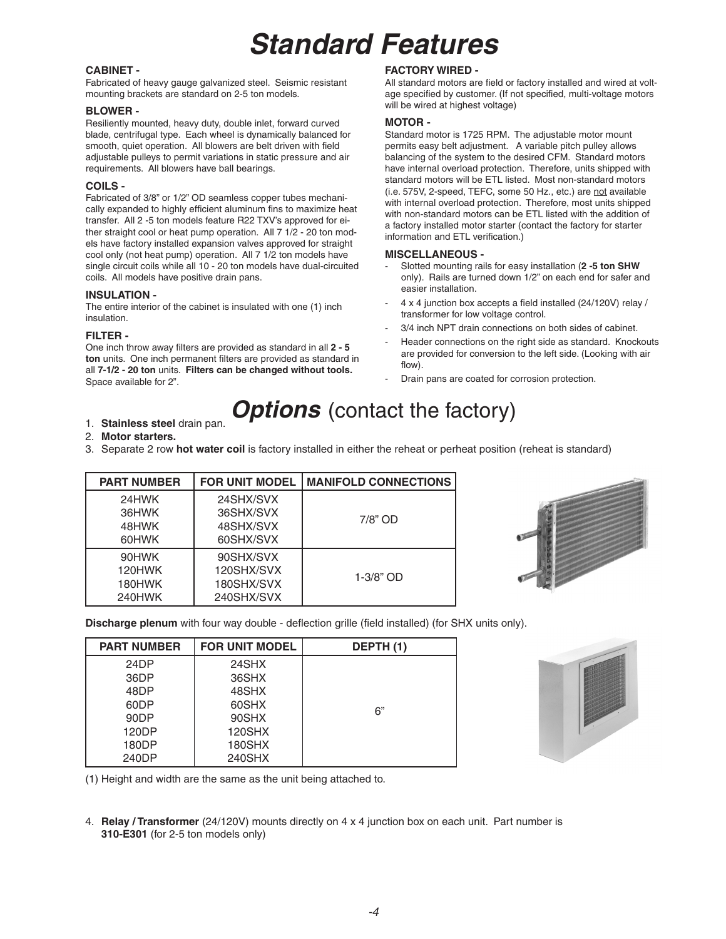#### **Standard Features**

#### **CABINET -**

Fabricated of heavy gauge galvanized steel. Seismic resistant mounting brackets are standard on 2-5 ton models.

#### **BLOWER -**

Resiliently mounted, heavy duty, double inlet, forward curved blade, centrifugal type. Each wheel is dynamically balanced for smooth, quiet operation. All blowers are belt driven with field adjustable pulleys to permit variations in static pressure and air requirements. All blowers have ball bearings.

#### **COILS -**

Fabricated of 3/8" or 1/2" OD seamless copper tubes mechanically expanded to highly efficient aluminum fins to maximize heat transfer. All 2 -5 ton models feature R22 TXV's approved for either straight cool or heat pump operation. All 7 1/2 - 20 ton models have factory installed expansion valves approved for straight cool only (not heat pump) operation. All 7 1/2 ton models have single circuit coils while all 10 - 20 ton models have dual-circuited coils. All models have positive drain pans.

#### **INSULATION -**

The entire interior of the cabinet is insulated with one (1) inch insulation.

#### **FILTER -**

One inch throw away filters are provided as standard in all **2 - 5 ton** units. One inch permanent filters are provided as standard in all **7-1/2 - 20 ton** units. **Filters can be changed without tools.** Space available for 2".

#### **FACTORY WIRED -**

All standard motors are field or factory installed and wired at voltage specified by customer. (If not specified, multi-voltage motors will be wired at highest voltage)

#### **MOTOR -**

Standard motor is 1725 RPM. The adjustable motor mount permits easy belt adjustment. A variable pitch pulley allows balancing of the system to the desired CFM. Standard motors have internal overload protection. Therefore, units shipped with standard motors will be ETL listed. Most non-standard motors (i.e. 575V, 2-speed, TEFC, some 50 Hz., etc.) are not available with internal overload protection. Therefore, most units shipped with non-standard motors can be ETL listed with the addition of a factory installed motor starter (contact the factory for starter information and ETL verification.)

#### **MISCELLANEOUS -**

- Slotted mounting rails for easy installation (**2 -5 ton SHW**  only). Rails are turned down 1/2" on each end for safer and easier installation.
- 4 x 4 junction box accepts a field installed (24/120V) relay / transformer for low voltage control.
- 3/4 inch NPT drain connections on both sides of cabinet.
- Header connections on the right side as standard. Knockouts are provided for conversion to the left side. (Looking with air flow).
- Drain pans are coated for corrosion protection.

#### **Options** (contact the factory)

1. **Stainless steel** drain pan.

#### 2. **Motor starters.**

3. Separate 2 row **hot water coil** is factory installed in either the reheat or perheat position (reheat is standard)

| <b>PART NUMBER</b> | <b>FOR UNIT MODEL</b> | <b>MANIFOLD CONNECTIONS</b> |
|--------------------|-----------------------|-----------------------------|
| 24HWK              | 24SHX/SVX             |                             |
| 36HWK              | 36SHX/SVX             | $7/8"$ OD                   |
| 48HWK              | 48SHX/SVX             |                             |
| 60HWK              | 60SHX/SVX             |                             |
| 90HWK              | 90SHX/SVX             |                             |
| 120HWK             | 120SHX/SVX            | $1 - 3/8"$ OD               |
| 180HWK             | 180SHX/SVX            |                             |
| 240HWK             | 240SHX/SVX            |                             |



**Discharge plenum** with four way double - deflection grille (field installed) (for SHX units only).

| <b>PART NUMBER</b> | <b>FOR UNIT MODEL</b> | DEPTH (1) |
|--------------------|-----------------------|-----------|
| 24DP               | 24SHX                 |           |
| 36DP               | 36SHX                 |           |
| 48DP               | 48SHX                 |           |
| 60DP               | 60SHX                 | 6"        |
| 90DP               | 90SHX                 |           |
| 120DP              | 120SHX                |           |
| 180DP              | 180SHX                |           |
| 240DP              | 240SHX                |           |



(1) Height and width are the same as the unit being attached to.

4. **Relay / Transformer** (24/120V) mounts directly on 4 x 4 junction box on each unit. Part number is **310-E301** (for 2-5 ton models only)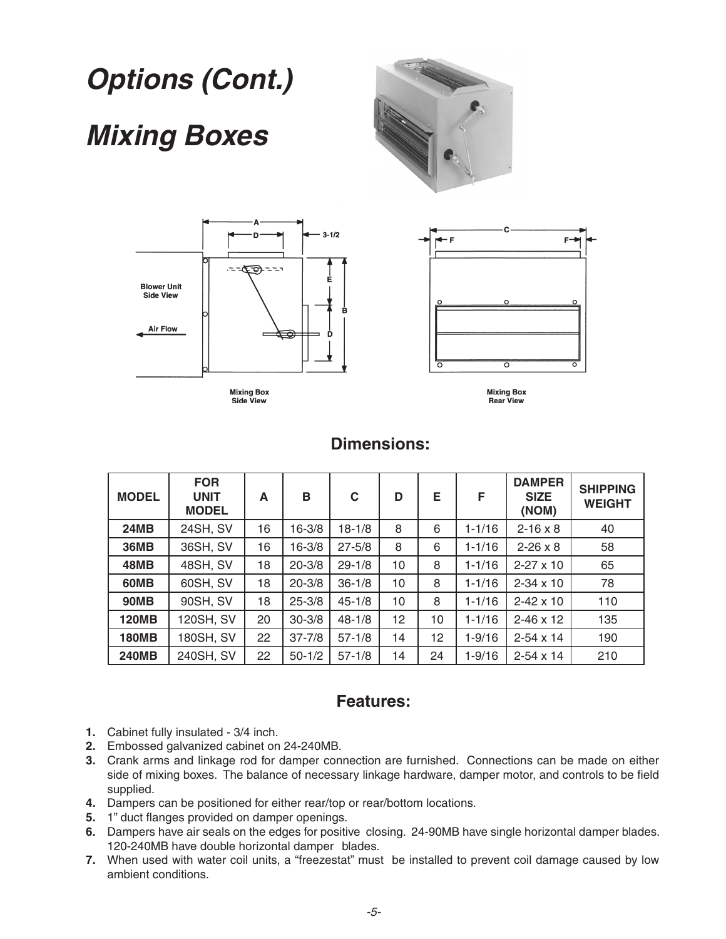### **Options (Cont.) Mixing Boxes**







Side View

**Mixing Box<br>Rear View** 

| <b>MODEL</b> | <b>FOR</b><br><b>UNIT</b><br><b>MODEL</b> | A  | B          | C          | D  | E. | F          | <b>DAMPER</b><br><b>SIZE</b><br>(NOM) | <b>SHIPPING</b><br><b>WEIGHT</b> |
|--------------|-------------------------------------------|----|------------|------------|----|----|------------|---------------------------------------|----------------------------------|
| <b>24MB</b>  | 24SH, SV                                  | 16 | $16 - 3/8$ | $18 - 1/8$ | 8  | 6  | $1 - 1/16$ | $2 - 16 \times 8$                     | 40                               |
| <b>36MB</b>  | 36SH, SV                                  | 16 | $16 - 3/8$ | $27 - 5/8$ | 8  | 6  | $1 - 1/16$ | $2 - 26 \times 8$                     | 58                               |
| 48MB         | <b>48SH, SV</b>                           | 18 | $20 - 3/8$ | $29 - 1/8$ | 10 | 8  | $1 - 1/16$ | $2 - 27 \times 10$                    | 65                               |
| 60MB         | 60SH, SV                                  | 18 | $20 - 3/8$ | $36 - 1/8$ | 10 | 8  | $1 - 1/16$ | $2 - 34 \times 10$                    | 78                               |
| <b>90MB</b>  | 90SH, SV                                  | 18 | $25 - 3/8$ | $45 - 1/8$ | 10 | 8  | $1 - 1/16$ | $2 - 42 \times 10$                    | 110                              |
| <b>120MB</b> | 120SH, SV                                 | 20 | $30 - 3/8$ | $48 - 1/8$ | 12 | 10 | $1 - 1/16$ | $2 - 46 \times 12$                    | 135                              |
| <b>180MB</b> | 180SH, SV                                 | 22 | $37 - 7/8$ | $57 - 1/8$ | 14 | 12 | $1 - 9/16$ | $2 - 54 \times 14$                    | 190                              |
| <b>240MB</b> | 240SH, SV                                 | 22 | $50 - 1/2$ | $57 - 1/8$ | 14 | 24 | $1 - 9/16$ | $2 - 54 \times 14$                    | 210                              |

#### **Dimensions:**

#### **Features:**

- **1.** Cabinet fully insulated 3/4 inch.
- **2.** Embossed galvanized cabinet on 24-240MB.
- **3.** Crank arms and linkage rod for damper connection are furnished. Connections can be made on either side of mixing boxes. The balance of necessary linkage hardware, damper motor, and controls to be field supplied.
- **4.** Dampers can be positioned for either rear/top or rear/bottom locations.
- **5.** 1" duct flanges provided on damper openings.
- **6.** Dampers have air seals on the edges for positive closing. 24-90MB have single horizontal damper blades. 120-240MB have double horizontal damper blades.
- **7.** When used with water coil units, a "freezestat" must be installed to prevent coil damage caused by low ambient conditions.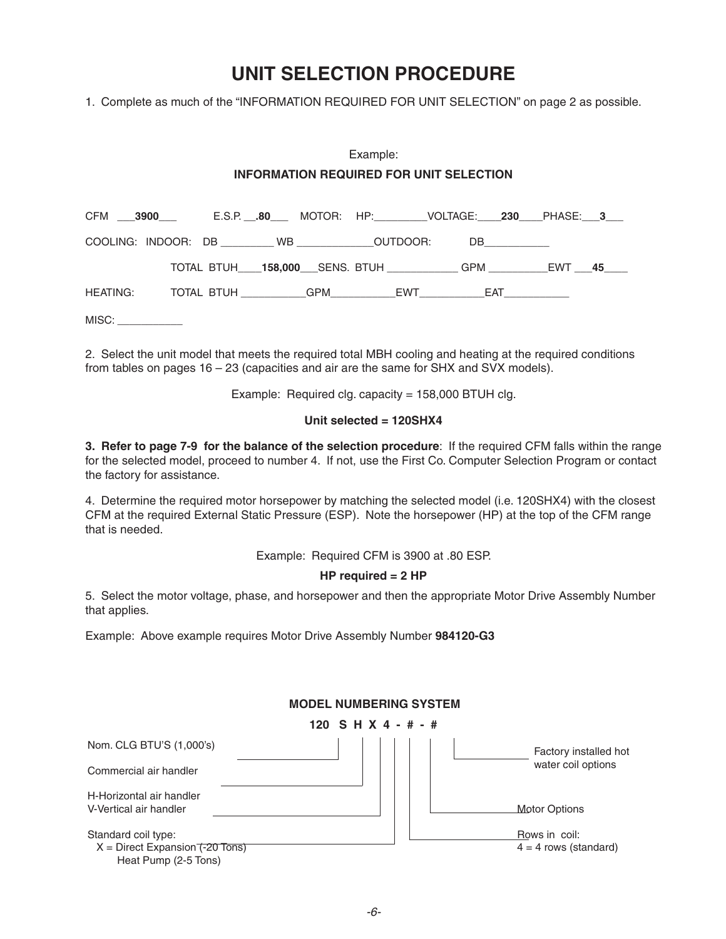#### **UNIT SELECTION PROCEDURE**

1. Complete as much of the "INFORMATION REQUIRED FOR UNIT SELECTION" on page 2 as possible.

#### Example: **INFORMATION REQUIRED FOR UNIT SELECTION**

|  |  | CFM ___3900___    E.S.P. __.80___ MOTOR:  HP:_________VOLTAGE:____230____PHASE:___3___ |  |  |  |
|--|--|----------------------------------------------------------------------------------------|--|--|--|
|  |  | COOLING: INDOOR: DB __________WB ________________OUTDOOR: DB ___________________       |  |  |  |
|  |  | TOTAL BTUH____158,000____SENS. BTUH_______________GPM _____________EWT ____45____      |  |  |  |
|  |  |                                                                                        |  |  |  |

MISC:

2. Select the unit model that meets the required total MBH cooling and heating at the required conditions from tables on pages 16 – 23 (capacities and air are the same for SHX and SVX models).

Example: Required clg. capacity = 158,000 BTUH clg.

#### **Unit selected = 120SHX4**

**3. Refer to page 7-9 for the balance of the selection procedure**: If the required CFM falls within the range for the selected model, proceed to number 4. If not, use the First Co. Computer Selection Program or contact the factory for assistance.

4. Determine the required motor horsepower by matching the selected model (i.e. 120SHX4) with the closest CFM at the required External Static Pressure (ESP). Note the horsepower (HP) at the top of the CFM range that is needed.

Example: Required CFM is 3900 at .80 ESP.

#### **HP required = 2 HP**

5. Select the motor voltage, phase, and horsepower and then the appropriate Motor Drive Assembly Number that applies.

Example: Above example requires Motor Drive Assembly Number **984120-G3**

|                                                                                | <b>MODEL NUMBERING SYSTEM</b> |                         |
|--------------------------------------------------------------------------------|-------------------------------|-------------------------|
|                                                                                | 120 S H X 4 - # - #           |                         |
| Nom. CLG BTU'S (1,000's)                                                       |                               | Factory installed hot   |
| Commercial air handler                                                         |                               | water coil options      |
| H-Horizontal air handler                                                       |                               |                         |
| V-Vertical air handler                                                         |                               | <b>Motor Options</b>    |
| Standard coil type:                                                            |                               | Rows in coil:           |
| $X =$ Direct Expansion $\overline{(-20 \text{ Tons})}$<br>Heat Pump (2-5 Tons) |                               | $4 = 4$ rows (standard) |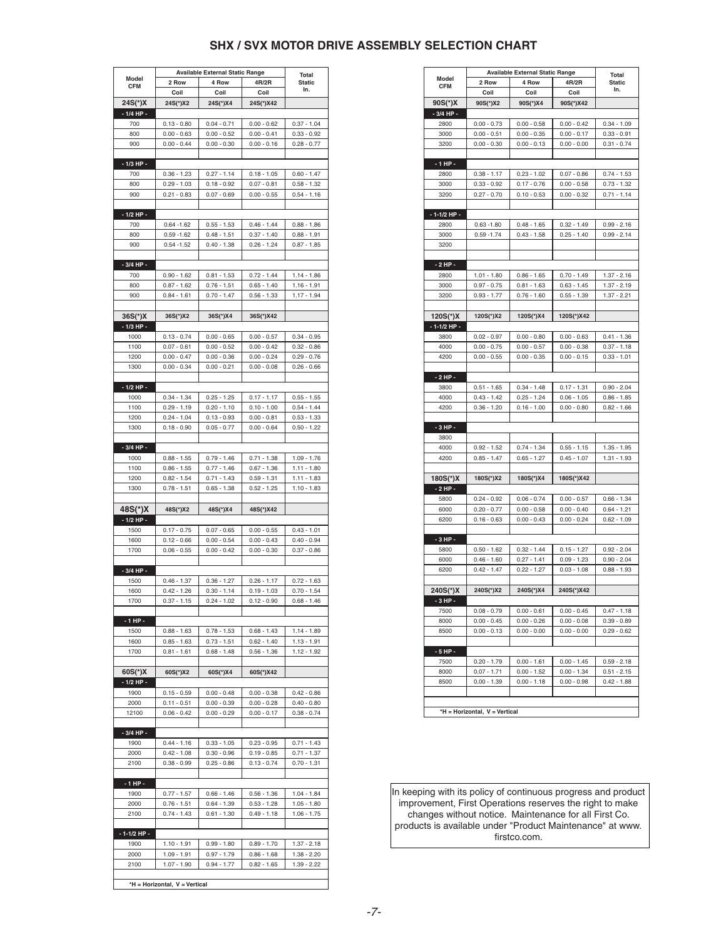#### **SHX / SVX MOTOR DRIVE ASSEMBLY SELECTION CHART**

|                   |                               | <b>Available External Static Range</b> |                                |                                |
|-------------------|-------------------------------|----------------------------------------|--------------------------------|--------------------------------|
| Model             | 2 Row                         | 4 Row                                  | 4R/2R                          | Total<br><b>Static</b>         |
| <b>CFM</b>        | Coil                          | Coil                                   | Coil                           | In.                            |
| 24S(*)X           | 24S(*)X2                      | 24S(*)X4                               | 24S(*)X42                      |                                |
| $-1/4$ HP $-$     |                               |                                        |                                |                                |
| 700               | $0.13 - 0.80$                 | $0.04 - 0.71$                          | $0.00 - 0.62$                  | $0.37 - 1.04$                  |
| 800               | $0.00 - 0.63$                 | $0.00 - 0.52$                          | $0.00 - 0.41$                  | $0.33 - 0.92$                  |
| 900               | $0.00 - 0.44$                 | $0.00 - 0.30$                          | $0.00 - 0.16$                  | $0.28 - 0.77$                  |
|                   |                               |                                        |                                |                                |
| - 1/3 HP -        |                               |                                        |                                |                                |
| 700               | $0.36 - 1.23$                 | $0.27 - 1.14$                          | $0.18 - 1.05$                  | $0.60 - 1.47$                  |
| 800               | $0.29 - 1.03$                 | $0.18 - 0.92$                          | $0.07 - 0.81$                  | $0.58 - 1.32$                  |
| 900               | $0.21 - 0.83$                 | $0.07 - 0.69$                          | $0.00 - 0.55$                  | $0.54 - 1.16$                  |
|                   |                               |                                        |                                |                                |
|                   |                               |                                        |                                |                                |
| - 1/2 HP -        |                               |                                        |                                |                                |
| 700               | $0.64 - 1.62$                 | $0.55 - 1.53$                          | $0.46 - 1.44$                  | $0.88 - 1.86$                  |
| 800               | $0.59 - 1.62$                 | $0.48 - 1.51$                          | $0.37 - 1.40$                  | $0.88 - 1.91$                  |
| 900               | $0.54 - 1.52$                 | $0.40 - 1.38$                          | $0.26 - 1.24$                  | $0.87 - 1.85$                  |
|                   |                               |                                        |                                |                                |
| - 3/4 HP -        |                               |                                        |                                |                                |
| 700               | $0.90 - 1.62$                 | $0.81 - 1.53$                          | 0.72 - 1.44                    | 1.14 - 1.86                    |
| 800               | $0.87 - 1.62$                 | $0.76 - 1.51$                          | $0.65 - 1.40$                  | $1.16 - 1.91$                  |
| 900               | $0.84 - 1.61$                 | $0.70 - 1.47$                          | $0.56 - 1.33$                  | $1.17 - 1.94$                  |
|                   |                               |                                        |                                |                                |
| 36S(*)X           | 36S(*)X2                      | 36S(*)X4                               | 36S(*)X42                      |                                |
| - 1/3 HP -        |                               |                                        |                                |                                |
| 1000              | $0.13 - 0.74$                 | $0.00 - 0.65$                          | $0.00 - 0.57$                  | $0.34 - 0.95$                  |
| 1100              | $0.07 - 0.61$                 | $0.00 - 0.52$                          | $0.00 - 0.42$                  | $0.32 - 0.86$                  |
| 1200              | $0.00 - 0.47$                 | $0.00 - 0.36$                          | $0.00 - 0.24$                  | $0.29 - 0.76$                  |
| 1300              | $0.00 - 0.34$                 | $0.00 - 0.21$                          | $0.00 - 0.08$                  | $0.26 - 0.66$                  |
|                   |                               |                                        |                                |                                |
| - 1/2 HP -        |                               |                                        |                                |                                |
| 1000              |                               |                                        | $0.17 - 1.17$                  |                                |
|                   | $0.34 - 1.34$                 | $0.25 - 1.25$                          |                                | $0.55 - 1.55$                  |
| 1100              | $0.29 - 1.19$                 | $0.20 - 1.10$                          | $0.10 - 1.00$                  | $0.54 - 1.44$                  |
| 1200              | $0.24 - 1.04$                 | $0.13 - 0.93$                          | $0.00 - 0.81$                  | $0.53 - 1.33$                  |
| 1300              | $0.18 - 0.90$                 | $0.05 - 0.77$                          | $0.00 - 0.64$                  | $0.50 - 1.22$                  |
|                   |                               |                                        |                                |                                |
| - 3/4 HP -        |                               |                                        |                                |                                |
| 1000              | $0.88 - 1.55$                 | $0.79 - 1.46$                          | $0.71 - 1.38$                  | $1.09 - 1.76$                  |
| 1100              | $0.86 - 1.55$                 | $0.77 - 1.46$                          | $0.67 - 1.36$                  | $1.11 - 1.80$                  |
| 1200              | $0.82 - 1.54$                 | $0.71 - 1.43$                          | $0.59 - 1.31$                  | $1.11 - 1.83$                  |
| 1300              | $0.78 - 1.51$                 | $0.65 - 1.38$                          | $0.52 - 1.25$                  | $1.10 - 1.83$                  |
|                   |                               |                                        |                                |                                |
| 48S(*)X           | 48S(*)X2                      | 48S(*)X4                               | 48S(*)X42                      |                                |
| - 1/2 HP -        |                               |                                        |                                |                                |
| 1500              | $0.17 - 0.75$                 | $0.07 - 0.65$                          | $0.00 - 0.55$                  | $0.43 - 1.01$                  |
| 1600              | $0.12 - 0.66$                 | $0.00 - 0.54$                          | $0.00 - 0.43$                  | $0.40 - 0.94$                  |
| 1700              | $0.06 - 0.55$                 | $0.00 - 0.42$                          | $0.00 - 0.30$                  | $0.37 - 0.86$                  |
|                   |                               |                                        |                                |                                |
| - 3/4 HP -        |                               |                                        |                                |                                |
| 1500              | $0.46 - 1.37$                 |                                        |                                |                                |
| 1600              | $0.42 - 1.26$                 | $0.36 - 1.27$<br>$0.30 - 1.14$         | $0.26 - 1.17$<br>$0.19 - 1.03$ | $0.72 - 1.63$<br>$0.70 - 1.54$ |
|                   |                               |                                        |                                |                                |
| 1700              | $0.37 - 1.15$                 | $0.24 - 1.02$                          | $0.12 - 0.90$                  | $0.68 - 1.46$                  |
|                   |                               |                                        |                                |                                |
| - 1 HP -          |                               |                                        |                                |                                |
| 1500              | $0.88 - 1.63$                 | $0.78 - 1.53$                          | $0.68 - 1.43$                  | 1.14 - 1.89                    |
| 1600              | $0.85 - 1.63$                 | $0.73 - 1.51$                          | $0.62 - 1.40$                  | $1.13 - 1.91$                  |
| 1700              | $0.81 - 1.61$                 | $0.68 - 1.48$                          | $0.56 - 1.36$                  | $1.12 - 1.92$                  |
|                   |                               |                                        |                                |                                |
| $60S(*)X$         | 60S(*)X2                      | 60S(*)X4                               | 60S(*)X42                      |                                |
| - 1/2 HP -        |                               |                                        |                                |                                |
| 1900              | $0.15 - 0.59$                 | $0.00 - 0.48$                          | $0.00 - 0.38$                  | $0.42 - 0.86$                  |
| 2000              | $0.11 - 0.51$                 | $0.00 - 0.39$                          | $0.00 - 0.28$                  | $0.40 - 0.80$                  |
| 12100             | $0.06 - 0.42$                 | $0.00 - 0.29$                          | $0.00 - 0.17$                  | $0.38 - 0.74$                  |
|                   |                               |                                        |                                |                                |
| - 3/4 HP -        |                               |                                        |                                |                                |
| 1900              | $0.44 - 1.16$                 | $0.33 - 1.05$                          | $0.23 - 0.95$                  | $0.71 - 1.43$                  |
| 2000              | $0.42 - 1.08$                 | $0.30 - 0.96$                          | $0.19 - 0.85$                  | $0.71 - 1.37$                  |
| 2100              | $0.38 - 0.99$                 | $0.25 - 0.86$                          | $0.13 - 0.74$                  | $0.70 - 1.31$                  |
|                   |                               |                                        |                                |                                |
| - 1 HP -          |                               |                                        |                                |                                |
| 1900              | $0.77 - 1.57$                 | $0.66 - 1.46$                          | $0.56 - 1.36$                  | $1.04 - 1.84$                  |
|                   |                               |                                        |                                |                                |
| 2000              | $0.76 - 1.51$                 | $0.64 - 1.39$                          | $0.53 - 1.28$                  | $1.05 - 1.80$                  |
| 2100              | $0.74 - 1.43$                 | $0.61 - 1.30$                          | $0.49 - 1.18$                  | $1.06 - 1.75$                  |
|                   |                               |                                        |                                |                                |
| $-1 - 1/2$ HP $-$ |                               |                                        |                                |                                |
| 1900              | $1.10 - 1.91$                 | $0.99 - 1.80$                          | $0.89 - 1.70$                  | $1.37 - 2.18$                  |
| 2000              | $1.09 - 1.91$                 | $0.97 - 1.79$                          | $0.86 - 1.68$                  | $1.38 - 2.20$                  |
| 2100              | $1.07 - 1.90$                 | $0.94 - 1.77$                          | $0.82 - 1.65$                  | $1.39 - 2.22$                  |
|                   |                               |                                        |                                |                                |
|                   | *H = Horizontal, V = Vertical |                                        |                                |                                |

|                     |                                | <b>Available External Static Range</b> |                                | <b>Total</b>                   |
|---------------------|--------------------------------|----------------------------------------|--------------------------------|--------------------------------|
| Model<br><b>CFM</b> | 2 Row                          | 4 Row                                  | 4R/2R                          | <b>Static</b>                  |
|                     | Coil                           | Coil                                   | Coil                           | In.                            |
| 90S(*)X             | 90S(*)X2                       | 90S(*)X4                               | 90S(*)X42                      |                                |
| $-3/4$ HP $-$       |                                |                                        |                                |                                |
| 2800                | $0.00 - 0.73$                  | $0.00 - 0.58$                          | $0.00 - 0.42$                  | $0.34 - 1.09$                  |
| 3000                | $0.00 - 0.51$                  | $0.00 - 0.35$                          | $0.00 - 0.17$                  | $0.33 - 0.91$                  |
| 3200                | $0.00 - 0.30$                  | $0.00 - 0.13$                          | $0.00 - 0.00$                  | $0.31 - 0.74$                  |
|                     |                                |                                        |                                |                                |
| $-1HP -$            |                                |                                        |                                |                                |
| 2800                | $0.38 - 1.17$                  | $0.23 - 1.02$                          | $0.07 - 0.86$                  | $0.74 - 1.53$                  |
| 3000                | $0.33 - 0.92$                  | $0.17 - 0.76$                          | $0.00 - 0.58$                  | $0.73 - 1.32$                  |
| 3200                | $0.27 - 0.70$                  | $0.10 - 0.53$                          | $0.00 - 0.32$                  | $0.71 - 1.14$                  |
|                     |                                |                                        |                                |                                |
| $-1-1/2$ HP $-$     |                                |                                        |                                |                                |
| 2800                | $0.63 - 1.80$                  | $0.48 - 1.65$                          | $0.32 - 1.49$                  | $0.99 - 2.16$                  |
| 3000                | $0.59 - 1.74$                  | $0.43 - 1.58$                          | $0.25 - 1.40$                  | $0.99 - 2.14$                  |
| 3200                |                                |                                        |                                |                                |
| $-2$ HP $-$         |                                |                                        |                                |                                |
| 2800                | $1.01 - 1.80$                  | $0.86 - 1.65$                          | $0.70 - 1.49$                  | $1.37 - 2.16$                  |
| 3000                | $0.97 - 0.75$                  | $0.81 - 1.63$                          | $0.63 - 1.45$                  | $1.37 - 2.19$                  |
| 3200                | $0.93 - 1.77$                  | $0.76 - 1.60$                          | $0.55 - 1.39$                  | $1.37 - 2.21$                  |
|                     |                                |                                        |                                |                                |
| 120S(*)X            | 120S(*)X2                      | 120S(*)X4                              | 120S(*)X42                     |                                |
| - 1-1/2 HP -        |                                |                                        |                                |                                |
| 3800                | $0.02 - 0.97$                  | $0.00 - 0.80$                          | $0.00 - 0.63$                  | $0.41 - 1.36$                  |
| 4000                | $0.00 - 0.75$                  | $0.00 - 0.57$                          | $0.00 - 0.38$                  | $0.37 - 1.18$                  |
| 4200                | $0.00 - 0.55$                  | $0.00 - 0.35$                          | $0.00 - 0.15$                  | $0.33 - 1.01$                  |
|                     |                                |                                        |                                |                                |
| $-2$ HP $-$         |                                |                                        |                                |                                |
| 3800                | $0.51 - 1.65$                  | $0.34 - 1.48$                          | $0.17 - 1.31$                  | $0.90 - 2.04$                  |
| 4000                | $0.43 - 1.42$                  | $0.25 - 1.24$                          | $0.06 - 1.05$                  | $0.86 - 1.85$                  |
| 4200                | $0.36 - 1.20$                  | $0.16 - 1.00$                          | $0.00 - 0.80$                  | $0.82 - 1.66$                  |
|                     |                                |                                        |                                |                                |
| $-3HP -$            |                                |                                        |                                |                                |
| 3800                |                                |                                        |                                |                                |
| 4000                | $0.92 - 1.52$                  | $0.74 - 1.34$                          | $0.55 - 1.15$                  | $1.35 - 1.95$                  |
| 4200                | $0.85 - 1.47$                  | $0.65 - 1.27$                          | $0.45 - 1.07$                  | $1.31 - 1.93$                  |
|                     |                                |                                        |                                |                                |
| 180S(*)X            | 180S(*)X2                      | 180S(*)X4                              | 180S(*)X42                     |                                |
| $-2$ HP $-$         |                                |                                        |                                |                                |
| 5800<br>6000        | $0.24 - 0.92$<br>$0.20 - 0.77$ | $0.06 - 0.74$<br>$0.00 - 0.58$         | $0.00 - 0.57$<br>$0.00 - 0.40$ | $0.66 - 1.34$<br>$0.64 - 1.21$ |
| 6200                | $0.16 - 0.63$                  | $0.00 - 0.43$                          | $0.00 - 0.24$                  | $0.62 - 1.09$                  |
|                     |                                |                                        |                                |                                |
| $-3$ HP $-$         |                                |                                        |                                |                                |
| 5800                | $0.50 - 1.62$                  | $0.32 - 1.44$                          | $0.15 - 1.27$                  | $0.92 - 2.04$                  |
| 6000                | $0.46 - 1.60$                  | $0.27 - 1.41$                          | $0.09 - 1.23$                  | $0.90 - 2.04$                  |
| 6200                | $0.42 - 1.47$                  | $0.22 - 1.27$                          | $0.03 - 1.08$                  | $0.88 - 1.93$                  |
|                     |                                |                                        |                                |                                |
| 240S(*)X            | 240S(*)X2                      | 240S(*)X4                              | 240S(*)X42                     |                                |
| - 3 HP -            |                                |                                        |                                |                                |
| 7500                | $0.08 - 0.79$                  | $0.00 - 0.61$                          | $0.00 - 0.45$                  | $0.47 - 1.18$                  |
| 8000                | $0.00 - 0.45$                  | $0.00 - 0.26$                          | $0.00 - 0.08$                  | $0.39 - 0.89$                  |
| 8500                | $0.00 - 0.13$                  | $0.00 - 0.00$                          | $0.00 - 0.00$                  | $0.29 - 0.62$                  |
|                     |                                |                                        |                                |                                |
| - 5 HP -            |                                |                                        |                                |                                |
| 7500                | $0.20 - 1.79$                  | $0.00 - 1.61$                          | $0.00 - 1.45$                  | $0.59 - 2.18$                  |
| 8000                | $0.07 - 1.71$                  | $0.00 - 1.52$                          | $0.00 - 1.34$                  | $0.51 - 2.15$                  |
| 8500                | $0.00 - 1.39$                  | $0.00 - 1.18$                          | $0.00 - 0.98$                  | $0.42 - 1.88$                  |
|                     |                                |                                        |                                |                                |
|                     |                                |                                        |                                |                                |
|                     | *H = Horizontal, V = Vertical  |                                        |                                |                                |

In keeping with its policy of continuous progress and product improvement, First Operations reserves the right to make changes without notice. Maintenance for all First Co. products is available under "Product Maintenance" at www. firstco.com.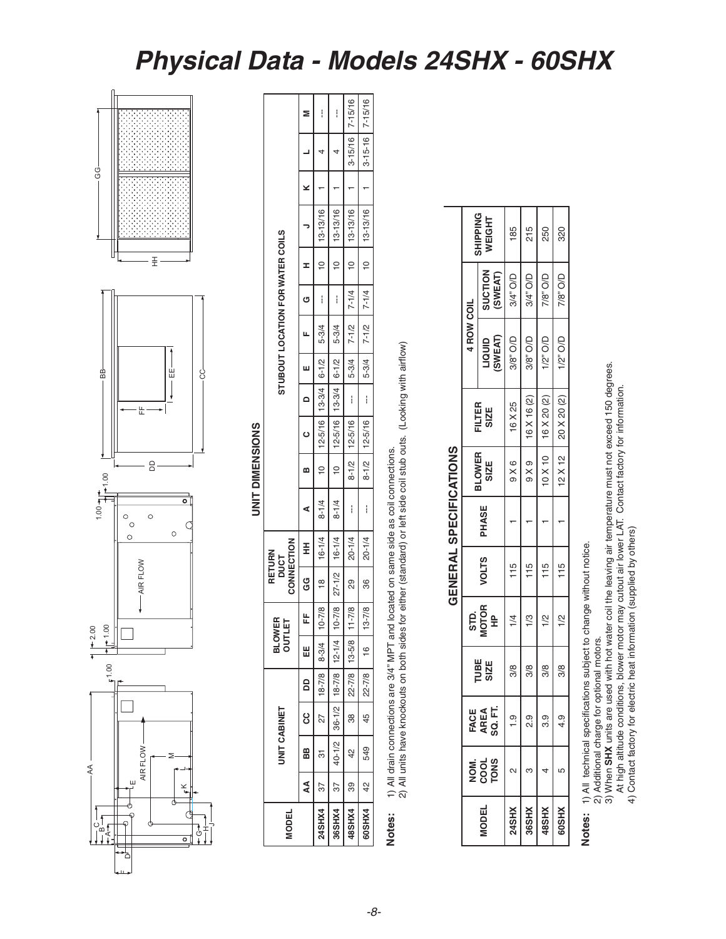#### **Physical Data - Models 24SHX - 60SHX**



## **UNIT DIMENSIONS UNIT DIMENSIONS**

っ

| <b>MODEL</b> |                                                                           | UNIT CABINET    |                      | <b>BLOWER</b><br><b>OUTLET</b> |                           | CONNECTION<br>RETURN<br>DUCT |            |                                          |                                                     |                          | STUBOUT LOCATION FOR WATER COILS |        |   |                   |   |                     |   |
|--------------|---------------------------------------------------------------------------|-----------------|----------------------|--------------------------------|---------------------------|------------------------------|------------|------------------------------------------|-----------------------------------------------------|--------------------------|----------------------------------|--------|---|-------------------|---|---------------------|---|
| AA           | 88                                                                        | —<br>ც          | 8<br>8               | ₩                              | 正                         | ვ<br>ე                       | Ŧ          | ⋖                                        |                                                     | $\overline{a}$           |                                  | C<br>C | I |                   | × |                     |   |
| 37<br>24SHX4 | $\frac{1}{2}$                                                             | $\overline{27}$ |                      |                                |                           |                              |            | 18-7/8   8-3/4   10-7/8   16-1/4   8-1/4 | $10 \t 12 - 5/16 \t 13 - 3/4 \t 6 - 1/2 \t 5 - 3/4$ |                          |                                  | ł      |   | $10$   $13-13/16$ |   |                     | I |
| 36SHX4       | 37   40-1/2   36-1/2   18-7/8   12-1/4   10-7/8   27-1/2   16-1/4   8-1/4 |                 |                      |                                |                           |                              |            |                                          | $10 \t 12 - 5/16 \t 13 - 3/4 \t 6 - 1/2 \t 5 - 3/4$ |                          |                                  | Í      |   | $10$   $13-13/16$ |   |                     | i |
| 39<br>48SHX4 | 42                                                                        |                 | 38   22-7/8   13-5/8 |                                | $11 - 7/8$                | <b>82</b>                    | $20 - 1/4$ | ļ                                        | $8-1/2$   12-5/16                                   | $\mathbf{I}$             | $5-3/4$ $7-1/2$ $7-1/4$          |        |   | $10$ 13-13/16     |   | $3 - 15/16$ 7-15/16 |   |
| 42<br>60SHX4 | 549                                                                       |                 | 45   22-7/8          | $16$ $1$                       | $\frac{1}{2}$<br>$13 - 7$ | 36                           | $20 - 1/4$ | I                                        | $8-1/2$   12-5/16                                   | $\overline{\phantom{a}}$ |                                  |        |   |                   |   | $ 3-15-16 $ 7-15/16 |   |

# **Notes:** 1) All drain connections are 3/4" MPT and located on same side as coil connections. Notes:

1) All drain connections are 3/4" MPT and located on same side as coil connections.<br>2) All units have knockouts on both sides for either (standard) or left side coil stub outs. (Looking with airflow) 2) All units have knockouts on both sides for either (standard) or left side coil stub outs. (Looking with airflow)

## GENERAI SPECIFICATIONS **GENERAL SPECIFICATIONS**

|               |                      |                 |               |                     |              | <b>QENERAL SPEVITURIONS</b> |                       |                     |                   |                    |                           |
|---------------|----------------------|-----------------|---------------|---------------------|--------------|-----------------------------|-----------------------|---------------------|-------------------|--------------------|---------------------------|
|               |                      | FACE            |               |                     |              |                             |                       |                     | <b>4 ROW COIL</b> |                    |                           |
| <b>ISODEI</b> | NOM.<br>2005<br>10NS | SQ. FT.<br>AREA | TUBE<br>SIZE  | STD.<br>MOTOR<br>HP | <b>VOLTS</b> | PHASE                       | <b>BLOWER</b><br>SIZE | FILTER<br>SIZE      | SWEAT)<br>unou    | SUCTION<br>(SWEAT) | <b>SHIPPING</b><br>WEIGHT |
| <b>XHSti</b>  |                      | $\frac{1}{2}$   | $\frac{8}{3}$ | $\frac{1}{4}$       | 115          |                             | 9X6                   | 16 X 25             | 3/8" O/D          | 3/4" O/D           | 185                       |
| <b>NHS91</b>  |                      | თ<br>ა          | 3/8           | $\frac{1}{3}$       | 115          |                             | $9 \times 9$          | 16 X 16 (2)         | 3/8" O/D          | 3/4" O/D           | 215                       |
| <b>RSSHX</b>  |                      | თ<br>თ          | $\frac{8}{3}$ | $\frac{2}{1}$       | 115          |                             | $10 \times 10$        | $16$ X 20 (2)       | $1/2$ " O/D       | 7/8" O/D           | 250                       |
| <b>XHSO®</b>  |                      | 4.9             | 3/8           | $\frac{1}{2}$       | 115          |                             |                       | 12 X 12 20 X 20 (2) | $1/2$ " O/D       | 7/8" O/D           | 320                       |
|               |                      |                 |               |                     |              |                             |                       |                     |                   |                    |                           |

# 1) All technical specifications subject to change without notice. **Notes:** 1) All technical specifications subject to change without notice. Notes:

2) Additional charge for optional motors.

2) Additional charge for optional motors.<br>3) When **SHX** units are used with hot water coil the leaving air temperature must not exceed 150 degrees.<br>At high altitude conditions, blower motor may cutout air lower LAT. Contac 3) When **SHX** units are used with hot water coil the leaving air temperature must not exceed 150 degrees. At high altitude conditions, blower motor may cutout air lower LAT. Contact factory for information.

4) Contact factory for electric heat information (supplied by others)

-8-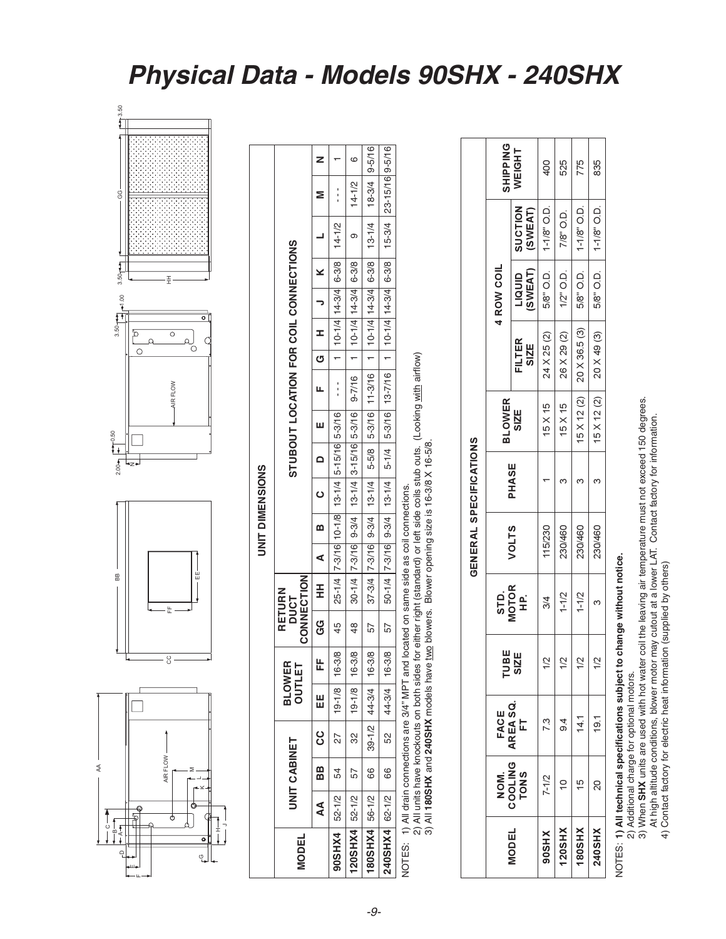NOTES: 1) All technical specifications subject to change without notice.

2) Additional charge for optional motors.<br>3) When **SHX** units are used with hot water coil the leaving air temperature must not exceed 150 degrees.<br>At high altitude conditions, blower motor may cutout at a lower LAT. Conta

#### Physical Data - Models 90SHX - 240SHX



 $\preccurlyeq$ 

|                                                                                            |           |              |     |                   |                         |               |                                                                        |   |   | <b>UNIT DIMENSIONS</b> |                          |   |                                                                                  |                    |                                     |                      |   |            |                                                                                                                                                                                                                              |   |
|--------------------------------------------------------------------------------------------|-----------|--------------|-----|-------------------|-------------------------|---------------|------------------------------------------------------------------------|---|---|------------------------|--------------------------|---|----------------------------------------------------------------------------------|--------------------|-------------------------------------|----------------------|---|------------|------------------------------------------------------------------------------------------------------------------------------------------------------------------------------------------------------------------------------|---|
| <b>MODEL</b>                                                                               |           | UNIT CABINET |     |                   | <b>BLOWER</b><br>OUTLET |               | CONNECTION<br>RETURN<br>DUCT                                           |   |   |                        |                          |   | STUBOUT LOCATION FOR COIL CONNECTIONS                                            |                    |                                     |                      |   |            |                                                                                                                                                                                                                              |   |
|                                                                                            | <b>AA</b> | BB           | ပ္ပ | 띮                 | 닍                       | ც<br>ს        | H                                                                      | ⋖ | m | <b>ပ</b>               | $\overline{\phantom{0}}$ | Ш | L                                                                                | $\frac{1}{\sigma}$ | x                                   | $\frac{1}{\sqrt{2}}$ | × |            |                                                                                                                                                                                                                              |   |
| 90SHX4 52-1/2                                                                              |           | 54           | 27  | $19 - 1/8$        | $16 - 3/8$              | 45            | $  25 - 1/4   7 - 3/16   10 - 1/8   13 - 1/4   5 - 15/16   5 - 3/16  $ |   |   |                        |                          |   | $\frac{1}{1}$                                                                    |                    | $1   10 - 1/4   14 - 3/4   6 - 3/8$ |                      |   | $14 - 1/2$ |                                                                                                                                                                                                                              |   |
| 120SHX4 52-1/2                                                                             |           | 57           | လ္က | $19 - 1/8$        | $16 - 3/8$              | $\frac{8}{3}$ |                                                                        |   |   |                        |                          |   | 30-1/4 7-3/16 9-3/4   13-1/4 3-15/16 5-3/16   9-7/16   1   10-1/4   14-3/4 6-3/8 |                    |                                     |                      |   | თ          | $14 - 1/2$                                                                                                                                                                                                                   | ဖ |
| 180SHX4 56-1/2                                                                             |           | 66           |     | $ 39-1/2 44-3/4 $ | $16 - 3/8$              | 57            |                                                                        |   |   |                        |                          |   |                                                                                  |                    |                                     |                      |   |            | 37-3/4   7-3/16   9-3/4   13-1/4   14-3/16   11-3/16   11-3/16   14-3/4   6-3/8   18-3/4   9-5/16   18-3/4   9-5/16   18-71   18-3/4   9-5/16   18-71   18-3/4   9-5/16   18-14   18-14   18-14   18-14   18-14   18-14   18 |   |
| 240SHX4 62-1/2 66                                                                          |           |              |     | 52 44-3/4         | $16 - 3/8$              |               |                                                                        |   |   |                        |                          |   |                                                                                  |                    |                                     |                      |   |            | 51/9-15/16  1-3/16  1-3/16  1-3/16  1-3-1/4  5-1/16  1-3-7/16  1-5-1/4  10-1/4  10-1/4  10-3/4  10-3/4  10-1/16  15-16  16-5/16                                                                                              |   |
| NOTES: 1) All drain connections are 3/4" MPT and located on same side as coil connections. |           |              |     |                   |                         |               |                                                                        |   |   |                        |                          |   |                                                                                  |                    |                                     |                      |   |            |                                                                                                                                                                                                                              |   |

2) All units have knockouts on both sides for either right (standard) or left side coils stub outs. (Looking <u>with</u> airflow)<br>3) All **180SHX** and **240SHX** models have <u>two</u> blowers. Blower opening size is 16-3/8 X 16-5/8.

| $\frac{1}{2}$<br><b>CILICLE</b> |
|---------------------------------|
| ֧֟֟֓֕׆֧<br><b>NED</b>           |
|                                 |
|                                 |

|               |                         | FACE<br>AREA SQ. | TUBE          |                      |         |       | <b>BLOWER</b>  |                                  | <b>4 ROW COIL</b> |                           | SHIPPIN      |
|---------------|-------------------------|------------------|---------------|----------------------|---------|-------|----------------|----------------------------------|-------------------|---------------------------|--------------|
| <b>MODEL</b>  | NOM.<br>COOLING<br>TONS | <b>F</b>         | SIZE          | STD.<br>MOTOR<br>HP. | VOLTS   | PHASE | <b>SZZE</b>    | FILTER<br>SIZE                   | LIQUID<br>(SWEAT) | <b>SUCTION</b><br>(SWEAT) | <b>WEIGH</b> |
| 90SHX         | $7 - 1/2$               | 7.3              | $\frac{2}{3}$ | $\frac{3}{4}$        | 115/230 |       | $15 \times 15$ | 24 X 25 (2)                      | 5/8" O.D.         | $1-1/8"$ O.D.             | 400          |
| 120SHX        | $\cong$                 | $\frac{4}{9}$    | $\frac{2}{3}$ | $1 - 1/2$            | 230/460 | m,    | $15 \times 15$ | 26 X 29 (2)                      | $1/2$ " O.D.      | 7/8" O.D.                 | 525          |
| <b>NHS081</b> | 15                      | 14.1             | $\frac{2}{3}$ | $1 - 1/2$            | 230/460 |       |                | $15 \times 12 (2)$ 20 X 36.5 (3) | 5/8" O.D.         | $1-1/8"$ O.D.             | 775          |
| 240SHX        | 20                      | $\frac{1}{9}$    | $\frac{2}{3}$ |                      | 230/460 |       |                | $15 \times 12 (2)$ 20 X 49 (3)   | 5/8" O.D.         | $1-1/8"$ O.D.             | 835          |
|               |                         |                  |               |                      |         |       |                |                                  |                   |                           |              |

 $\frac{6}{7}$   $\pm$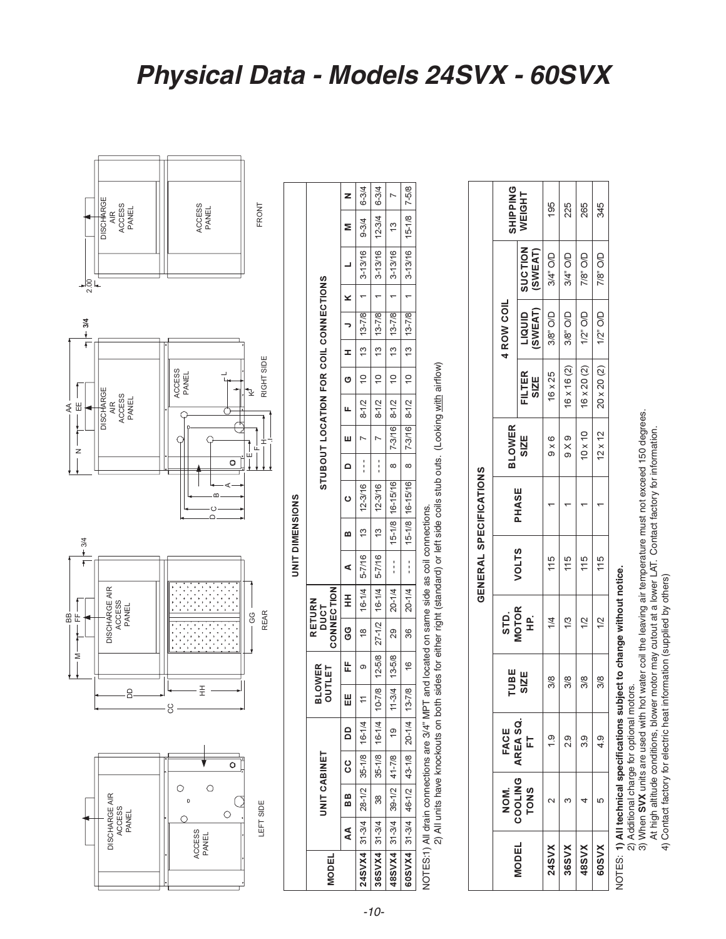1) All technical specifications subject to change without notice.



345

265

7/8" O/D 7/8" O/D

 $1/2$ " O/D  $1/2$ " O/D

 $16 \times 20 (2)$  $20 \times 20 (2)$ 

115  $115$ 

 $\overline{\mathcal{L}}$ 12

 $3/8$  $3/8$ 

3.9  $4.9$ 

ഗ 4

60SVX

NOTES:

48SVX

 $\leftarrow$ 

4) Contact factory for electric heat information (supplied by others)

#### Physical Data - Models 24SVX - 60SVX



 $-10-$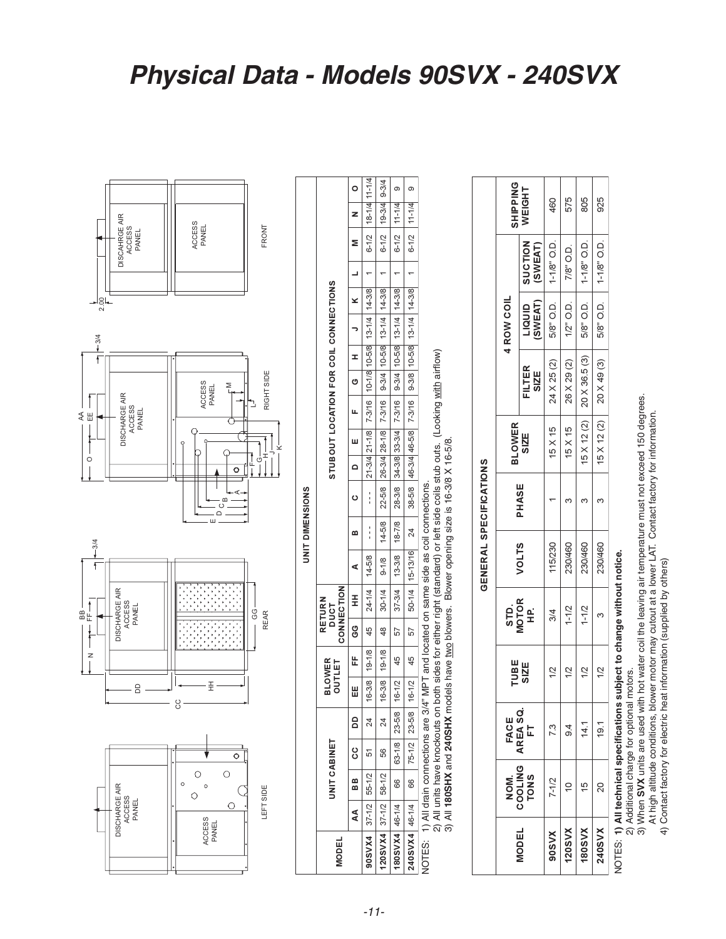NOTES: 1**) All technical specifications subject to change without notice.**<br>2) Additional charge for optional motors.<br>3) When **SVX** units are used with hot water coil the leaving air temperature must not exceed 150 degrees.



|     | <br>ප<br><b>REAR</b>         |                   |                 |                                                                                                                                                                            | Ġ<br>Ō<br>Ï |               |                                       | RIGHT SIDE<br>₹ |                  |                            |                     |                | FRONT     |               |           |
|-----|------------------------------|-------------------|-----------------|----------------------------------------------------------------------------------------------------------------------------------------------------------------------------|-------------|---------------|---------------------------------------|-----------------|------------------|----------------------------|---------------------|----------------|-----------|---------------|-----------|
|     |                              |                   | UNIT DIMENSIONS |                                                                                                                                                                            |             |               |                                       |                 |                  |                            |                     |                |           |               |           |
|     | CONNECTION<br>RETURN<br>DUCT |                   |                 |                                                                                                                                                                            |             |               | STUBOUT LOCATION FOR COIL CONNECTIONS |                 |                  |                            |                     |                |           |               |           |
| ပ္ပ | E                            | ⋖                 | ≃               | $\circ$                                                                                                                                                                    | $\sim$      | ш             | щ                                     | O               | x                |                            | ×                   |                | Σ         | z             | Ó         |
| 45  | 24-1/4                       | 14-5/8            | $\frac{1}{1}$   | $\frac{1}{1}$                                                                                                                                                              |             | 21-3/4 21-1/8 | 7-3/16 10-1/8 10-5/8                  |                 |                  |                            | $13 - 1/4$   14-3/8 |                | $6 - 1/2$ | 18-1/4 11-1/4 |           |
| 48  | $30 - 1/4$                   | $9 - 1/8$         | $14 - 5/8$      | 22-5/8                                                                                                                                                                     |             | 26-3/4 28-1/8 | 7-3/16                                |                 | $9-3/4$ $10-5/8$ |                            | $13 - 1/4$   14-3/8 |                | $6 - 1/2$ | $19-3/4$      | $9 - 3/4$ |
| 57  | 37-3/4                       | 13-3/8            | $18 - 7/8$      | 28-3/8                                                                                                                                                                     |             | 34-3/8 33-3/4 | 7-3/16                                |                 | $9-3/4$   10-5/8 |                            | $13 - 1/4$   14-3/8 |                | $6 - 1/2$ | $11 - 1/4$    | თ         |
| 57  |                              | 50-1/4   15-13/16 | 24              |                                                                                                                                                                            |             |               | 38-5/8 46-3/4 46-5/8 7-3/16           |                 |                  | 9-3/8 10-5/8 13-1/4 14-3/8 |                     | $\overline{ }$ | $6 - 1/2$ | $11 - 1/4$    | თ         |
|     |                              |                   |                 | either right (standard) or left side coils stub outs. (Looking with airflow)<br>blowers. Blower opening size is 16-3/8 X 16-5/8.<br>ated on same side as coil connections. |             |               |                                       |                 |                  |                            |                     |                |           |               |           |
|     |                              |                   |                 |                                                                                                                                                                            |             |               |                                       |                 |                  |                            |                     |                |           |               |           |
|     |                              |                   |                 | GENERAL SPECIFICATIONS                                                                                                                                                     |             |               |                                       |                 |                  |                            |                     |                |           |               |           |
|     |                              |                   |                 |                                                                                                                                                                            |             |               |                                       |                 |                  |                            |                     |                |           |               |           |

BLOWER<br>OUTLET

UNIT CABINET

岀

။<br>비

 $\mathsf{a}$  $\overline{24}$ 

°

68

 $\overline{A}$ 

**MODEL** 

19-1/8  $19 - 1/8$ 

 $16 - 3/8$ 

51

55-1/2

 $37 - 1/2$ 

90SVX4

45 45

 $16 - 1/2$  $16 - 3/8$ 

16-1/2

DISCAHRGE AIR<br>ACCESS

**DISCHARGE AIR** 

ACCESS<br>PANEL

 $\frac{1}{2.00}$ 

 $-3/4$ f

 $\overline{f}$ 

 $\circ$ 

 $-3/4$ 

 $\uparrow$ 

 $\overline{z}$ 

 $B_{\pm}$ 

**DISCHARGE AIR** ACCESS<br>PANEL

**DISCHARGE AIR** 

ACCESS<br>PANEL

 $\beta$ 

₹ Ш PANEL

ACCESS<br>PANEL

ACCESS<br>PANEL

– മ<br>- 0<br>– –

 $\overline{\pm}$ 

 $\circ$ 

 $\ddot{\circ}$ 

ACCESS<br>PANEL

 $\circ$  $\circ$   $\overline{\circ}$ 

 $\left(\right)$ 

LEFT SIDE

 $\circ$ 

 $\bigcap$ 

**CC** 

 $-11-$ 

 $23 - 5/8$  $23 - 5/8$  $\overline{24}$  $63 - 1/8$  $75 - 1/2$ 56 58-1/2 66 66  $37 - 1/2$ 46-1/4 46-1/4  $|20$ SVX4  $180$ SVX4  $240$ SVX4

2) All units have knockouts on both sides for either<br>3) All 180SHX and 240SHX models have <u>two</u> blow 1) All drain connections are 3/4" MPT and located o NOTES:

|                               | <b>SHIPPING</b> | WEIGHT<br><b>SUCTION</b><br>(SWEAT) | 460                     | 575          | 805                                                          |
|-------------------------------|-----------------|-------------------------------------|-------------------------|--------------|--------------------------------------------------------------|
|                               |                 |                                     | 5/8" O.D.   1-1/8" O.D. | 7/8" O.D.    |                                                              |
|                               | 4 ROW COIL      | SWEAT)<br>LIQUID                    |                         | $1/2$ " O.D. |                                                              |
|                               |                 | FILTER<br><b>SIZE</b>               | 24 X 25 (2)             | 26 X 29 (2)  | $15 \times 12$ (2) $20 \times 36.5$ (3) $58$ O.D. $118$ O.D. |
|                               | <b>BLOWER</b>   | <b>SIZE</b>                         | $15 \times 15$          | 15 X 15      |                                                              |
| <b>GENERAL SPECIFICATIONS</b> |                 | PHASE                               |                         | ო            |                                                              |
|                               |                 | <b>VOLTS</b>                        | 115/230                 | 230/460      | 230/460                                                      |
|                               | STD.<br>MOTOR   | 읖                                   | 3/4                     | $1 - 1/2$    | $1 - 1/2$                                                    |
|                               | <b>TUBE</b>     | <b>SIZE</b>                         | 12                      | 1/2          | 12                                                           |
|                               | FACE            | AREA SQ.<br>L.                      | 73                      | თ<br>თ       |                                                              |
|                               | NOM.            | COOLING                             | 7-1/2                   |              | 5                                                            |
|                               |                 | <b>VIODEL</b>                       | <b>SOSVX</b>            | 120SVX       | <b>N/S081</b>                                                |

460 575 805 925

 $1-1/8"$  O.D.

5/8" O.D.

20 X 49 (3)

15 X 12 (2)

230/460

ო

 $1/2$ 

 $19.1$ 

 $\overline{c}$ 

240SVX

 $\infty$  $\infty$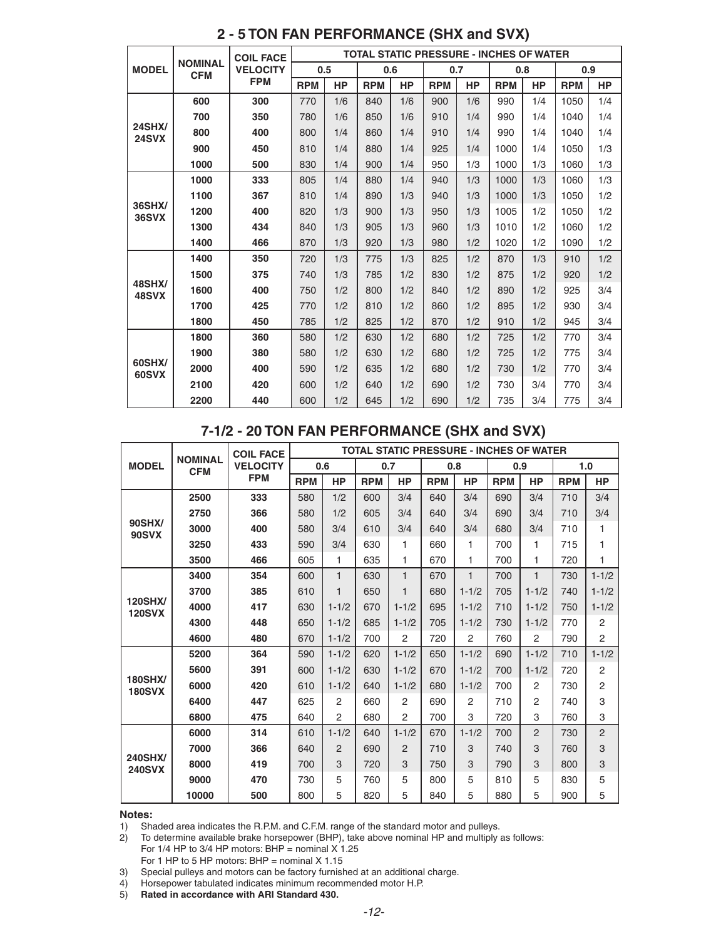|                        |                              | <b>COIL FACE</b> |            |           |            |           | <b>TOTAL STATIC PRESSURE - INCHES OF WATER</b> |           |            |           |            |           |
|------------------------|------------------------------|------------------|------------|-----------|------------|-----------|------------------------------------------------|-----------|------------|-----------|------------|-----------|
| <b>MODEL</b>           | <b>NOMINAL</b><br><b>CFM</b> | <b>VELOCITY</b>  | 0.5        |           | 0.6        |           | 0.7                                            |           | 0.8        |           | 0.9        |           |
|                        |                              | <b>FPM</b>       | <b>RPM</b> | <b>HP</b> | <b>RPM</b> | <b>HP</b> | <b>RPM</b>                                     | <b>HP</b> | <b>RPM</b> | <b>HP</b> | <b>RPM</b> | <b>HP</b> |
|                        | 600                          | 300              | 770        | 1/6       | 840        | 1/6       | 900                                            | 1/6       | 990        | 1/4       | 1050       | 1/4       |
|                        | 700                          | 350              | 780        | 1/6       | 850        | 1/6       | 910                                            | 1/4       | 990        | 1/4       | 1040       | 1/4       |
| <b>24SHX/</b><br>24SVX | 800                          | 400              | 800        | 1/4       | 860        | 1/4       | 910                                            | 1/4       | 990        | 1/4       | 1040       | 1/4       |
|                        | 900                          | 450              | 810        | 1/4       | 880        | 1/4       | 925                                            | 1/4       | 1000       | 1/4       | 1050       | 1/3       |
|                        | 1000                         | 500              | 830        | 1/4       | 900        | 1/4       | 950                                            | 1/3       | 1000       | 1/3       | 1060       | 1/3       |
|                        | 1000                         | 333              | 805        | 1/4       | 880        | 1/4       | 940                                            | 1/3       | 1000       | 1/3       | 1060       | 1/3       |
|                        | 1100                         | 367              | 810        | 1/4       | 890        | 1/3       | 940                                            | 1/3       | 1000       | 1/3       | 1050       | 1/2       |
| 36SHX/<br><b>36SVX</b> | 1200                         | 400              | 820        | 1/3       | 900        | 1/3       | 950                                            | 1/3       | 1005       | 1/2       | 1050       | 1/2       |
|                        | 1300                         | 434              | 840        | 1/3       | 905        | 1/3       | 960                                            | 1/3       | 1010       | 1/2       | 1060       | 1/2       |
|                        | 1400                         | 466              | 870        | 1/3       | 920        | 1/3       | 980                                            | 1/2       | 1020       | 1/2       | 1090       | 1/2       |
| <b>48SHX/</b><br>48SVX | 1400                         | 350              | 720        | 1/3       | 775        | 1/3       | 825                                            | 1/2       | 870        | 1/3       | 910        | 1/2       |
|                        | 1500                         | 375              | 740        | 1/3       | 785        | 1/2       | 830                                            | 1/2       | 875        | 1/2       | 920        | 1/2       |
|                        | 1600                         | 400              | 750        | 1/2       | 800        | 1/2       | 840                                            | 1/2       | 890        | 1/2       | 925        | 3/4       |
|                        | 1700                         | 425              | 770        | 1/2       | 810        | 1/2       | 860                                            | 1/2       | 895        | 1/2       | 930        | 3/4       |
|                        | 1800                         | 450              | 785        | 1/2       | 825        | 1/2       | 870                                            | 1/2       | 910        | 1/2       | 945        | 3/4       |
|                        | 1800                         | 360              | 580        | 1/2       | 630        | 1/2       | 680                                            | 1/2       | 725        | 1/2       | 770        | 3/4       |
|                        | 1900                         | 380              | 580        | 1/2       | 630        | 1/2       | 680                                            | 1/2       | 725        | 1/2       | 775        | 3/4       |
| 60SHX/<br>60SVX        | 2000                         | 400              | 590        | 1/2       | 635        | 1/2       | 680                                            | 1/2       | 730        | 1/2       | 770        | 3/4       |
|                        | 2100                         | 420              | 600        | 1/2       | 640        | 1/2       | 690                                            | 1/2       | 730        | 3/4       | 770        | 3/4       |
|                        | 2200                         | 440              | 600        | 1/2       | 645        | 1/2       | 690                                            | 1/2       | 735        | 3/4       | 775        | 3/4       |

#### **2 - 5 TON FAN PERFORMANCE (SHX and SVX)**

#### **7-1/2 - 20 TON FAN PERFORMANCE (SHX and SVX)**

|                                 |                              | <b>COIL FACE</b> |            |                |            |              |            |                |            | <b>TOTAL STATIC PRESSURE - INCHES OF WATER</b> |            |                |
|---------------------------------|------------------------------|------------------|------------|----------------|------------|--------------|------------|----------------|------------|------------------------------------------------|------------|----------------|
| <b>MODEL</b>                    | <b>NOMINAL</b><br><b>CFM</b> | <b>VELOCITY</b>  |            | 0.6            |            | 0.7          |            | 0.8            |            | 0.9                                            |            | 1.0            |
|                                 |                              | <b>FPM</b>       | <b>RPM</b> | <b>HP</b>      | <b>RPM</b> | <b>HP</b>    | <b>RPM</b> | <b>HP</b>      | <b>RPM</b> | <b>HP</b>                                      | <b>RPM</b> | <b>HP</b>      |
|                                 | 2500                         | 333              | 580        | 1/2            | 600        | 3/4          | 640        | 3/4            | 690        | 3/4                                            | 710        | 3/4            |
|                                 | 2750                         | 366              | 580        | 1/2            | 605        | 3/4          | 640        | 3/4            | 690        | 3/4                                            | 710        | 3/4            |
| 90SHX/<br><b>90SVX</b>          | 3000                         | 400              | 580        | 3/4            | 610        | 3/4          | 640        | 3/4            | 680        | 3/4                                            | 710        | 1              |
|                                 | 3250                         | 433              | 590        | 3/4            | 630        | 1            | 660        | 1              | 700        | 1                                              | 715        | 1              |
|                                 | 3500                         | 466              | 605        | 1              | 635        | 1            | 670        | 1              | 700        | 1                                              | 720        | 1              |
|                                 | 3400                         | 354              | 600        | $\mathbf{1}$   | 630        | 1            | 670        | 1              | 700        | 1                                              | 730        | $1 - 1/2$      |
|                                 | 3700                         | 385              | 610        | 1              | 650        | $\mathbf{1}$ | 680        | $1 - 1/2$      | 705        | $1 - 1/2$                                      | 740        | $1 - 1/2$      |
| <b>120SHX/</b><br><b>120SVX</b> | 4000                         | 417              | 630        | $1 - 1/2$      | 670        | $1 - 1/2$    | 695        | $1 - 1/2$      | 710        | $1 - 1/2$                                      | 750        | $1 - 1/2$      |
|                                 | 4300                         | 448              | 650        | $1 - 1/2$      | 685        | $1 - 1/2$    | 705        | $1 - 1/2$      | 730        | $1 - 1/2$                                      | 770        | $\overline{2}$ |
|                                 | 4600                         | 480              | 670        | $1 - 1/2$      | 700        | 2            | 720        | 2              | 760        | $\overline{2}$                                 | 790        | $\overline{2}$ |
| <b>180SHX/</b><br><b>180SVX</b> | 5200                         | 364              | 590        | $1 - 1/2$      | 620        | $1 - 1/2$    | 650        | $1 - 1/2$      | 690        | $1 - 1/2$                                      | 710        | $1 - 1/2$      |
|                                 | 5600                         | 391              | 600        | $1 - 1/2$      | 630        | $1 - 1/2$    | 670        | $1 - 1/2$      | 700        | $1 - 1/2$                                      | 720        | $\overline{2}$ |
|                                 | 6000                         | 420              | 610        | $1 - 1/2$      | 640        | $1 - 1/2$    | 680        | $1 - 1/2$      | 700        | $\overline{2}$                                 | 730        | $\overline{2}$ |
|                                 | 6400                         | 447              | 625        | 2              | 660        | 2            | 690        | $\overline{2}$ | 710        | $\overline{2}$                                 | 740        | 3              |
|                                 | 6800                         | 475              | 640        | $\overline{2}$ | 680        | 2            | 700        | 3              | 720        | 3                                              | 760        | 3              |
|                                 | 6000                         | 314              | 610        | $1 - 1/2$      | 640        | $1 - 1/2$    | 670        | $1 - 1/2$      | 700        | $\overline{2}$                                 | 730        | $\overline{2}$ |
|                                 | 7000                         | 366              | 640        | 2              | 690        | 2            | 710        | 3              | 740        | 3                                              | 760        | 3              |
| <b>240SHX/</b><br><b>240SVX</b> | 8000                         | 419              | 700        | 3              | 720        | 3            | 750        | 3              | 790        | 3                                              | 800        | 3              |
|                                 | 9000                         | 470              | 730        | 5              | 760        | 5            | 800        | 5              | 810        | 5                                              | 830        | 5              |
|                                 | 10000                        | 500              | 800        | 5              | 820        | 5            | 840        | 5              | 880        | 5                                              | 900        | 5              |

#### **Notes:**

1) Shaded area indicates the R.P.M. and C.F.M. range of the standard motor and pulleys.

2) To determine available brake horsepower (BHP), take above nominal HP and multiply as follows: For 1/4 HP to 3/4 HP motors: BHP = nominal  $X$  1.25

For 1 HP to 5 HP motors:  $BHP =$  nominal  $X$  1.15

3) Special pulleys and motors can be factory furnished at an additional charge.<br>4) Horsepower tabulated indicates minimum recommended motor H.P.

- 4) Horsepower tabulated indicates minimum recommended motor H.P.
- 5) **Rated in accordance with ARI Standard 430.**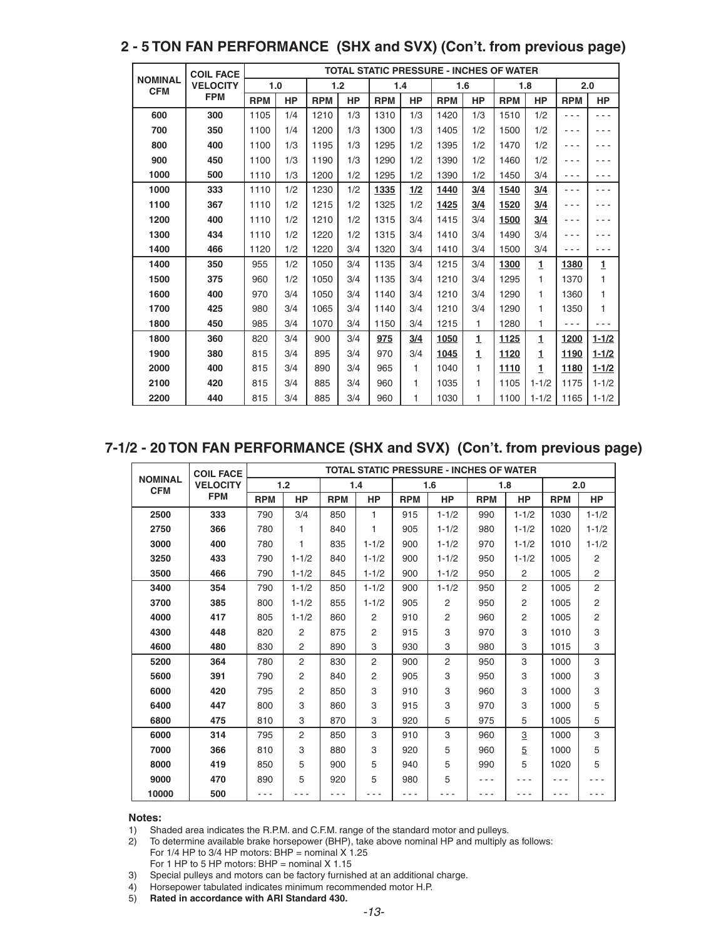|                              | <b>COIL FACE</b> |            |           |            |           |            |     | <b>TOTAL STATIC PRESSURE - INCHES OF WATER</b> |              |            |           |            |              |
|------------------------------|------------------|------------|-----------|------------|-----------|------------|-----|------------------------------------------------|--------------|------------|-----------|------------|--------------|
| <b>NOMINAL</b><br><b>CFM</b> | <b>VELOCITY</b>  |            | 1.0       |            | 1.2       | 1.4        |     | 1.6                                            |              |            | 1.8       |            | 2.0          |
|                              | <b>FPM</b>       | <b>RPM</b> | <b>HP</b> | <b>RPM</b> | <b>HP</b> | <b>RPM</b> | HP  | <b>RPM</b>                                     | <b>HP</b>    | <b>RPM</b> | HP        | <b>RPM</b> | <b>HP</b>    |
| 600                          | 300              | 1105       | 1/4       | 1210       | 1/3       | 1310       | 1/3 | 1420                                           | 1/3          | 1510       | 1/2       | - - -      |              |
| 700                          | 350              | 1100       | 1/4       | 1200       | 1/3       | 1300       | 1/3 | 1405                                           | 1/2          | 1500       | 1/2       | - - -      |              |
| 800                          | 400              | 1100       | 1/3       | 1195       | 1/3       | 1295       | 1/2 | 1395                                           | 1/2          | 1470       | 1/2       | - - -      |              |
| 900                          | 450              | 1100       | 1/3       | 1190       | 1/3       | 1290       | 1/2 | 1390                                           | 1/2          | 1460       | 1/2       | - - -      |              |
| 1000                         | 500              | 1110       | 1/3       | 1200       | 1/2       | 1295       | 1/2 | 1390                                           | 1/2          | 1450       | 3/4       | - - -      |              |
| 1000                         | 333              | 1110       | 1/2       | 1230       | 1/2       | 1335       | 1/2 | 1440                                           | 3/4          | 1540       | 3/4       | - - -      |              |
| 1100                         | 367              | 1110       | 1/2       | 1215       | 1/2       | 1325       | 1/2 | 1425                                           | 3/4          | 1520       | 3/4       | .          |              |
| 1200                         | 400              | 1110       | 1/2       | 1210       | 1/2       | 1315       | 3/4 | 1415                                           | 3/4          | 1500       | 3/4       | - - -      |              |
| 1300                         | 434              | 1110       | 1/2       | 1220       | 1/2       | 1315       | 3/4 | 1410                                           | 3/4          | 1490       | 3/4       | - - -      |              |
| 1400                         | 466              | 1120       | 1/2       | 1220       | 3/4       | 1320       | 3/4 | 1410                                           | 3/4          | 1500       | 3/4       | - - -      |              |
| 1400                         | 350              | 955        | 1/2       | 1050       | 3/4       | 1135       | 3/4 | 1215                                           | 3/4          | 1300       | 1         | 1380       | $\mathbf{1}$ |
| 1500                         | 375              | 960        | 1/2       | 1050       | 3/4       | 1135       | 3/4 | 1210                                           | 3/4          | 1295       | 1         | 1370       | 1            |
| 1600                         | 400              | 970        | 3/4       | 1050       | 3/4       | 1140       | 3/4 | 1210                                           | 3/4          | 1290       | 1         | 1360       | 1            |
| 1700                         | 425              | 980        | 3/4       | 1065       | 3/4       | 1140       | 3/4 | 1210                                           | 3/4          | 1290       | 1         | 1350       | 1            |
| 1800                         | 450              | 985        | 3/4       | 1070       | 3/4       | 1150       | 3/4 | 1215                                           | 1            | 1280       | 1         | - - -      |              |
| 1800                         | 360              | 820        | 3/4       | 900        | 3/4       | 975        | 3/4 | 1050                                           | $\mathbf{1}$ | 1125       | 1         | 1200       | $1 - 1/2$    |
| 1900                         | 380              | 815        | 3/4       | 895        | 3/4       | 970        | 3/4 | 1045                                           | $\mathbf{1}$ | 1120       | 1         | 1190       | $1 - 1/2$    |
| 2000                         | 400              | 815        | 3/4       | 890        | 3/4       | 965        | 1   | 1040                                           | 1            | 1110       | 1         | 1180       | $1 - 1/2$    |
| 2100                         | 420              | 815        | 3/4       | 885        | 3/4       | 960        | 1   | 1035                                           | 1            | 1105       | $1 - 1/2$ | 1175       | $1 - 1/2$    |
| 2200                         | 440              | 815        | 3/4       | 885        | 3/4       | 960        | 1   | 1030                                           | 1            | 1100       | $1 - 1/2$ | 1165       | $1 - 1/2$    |

#### **2 - 5 TON FAN PERFORMANCE (SHX and SVX) (Con't. from previous page)**

#### **7-1/2 - 20 TON FAN PERFORMANCE (SHX and SVX) (Con't. from previous page)**

|                              | <b>COIL FACE</b> |            |                |            |                |            | <b>TOTAL STATIC PRESSURE - INCHES OF WATER</b> |            |                |            |                |
|------------------------------|------------------|------------|----------------|------------|----------------|------------|------------------------------------------------|------------|----------------|------------|----------------|
| <b>NOMINAL</b><br><b>CFM</b> | <b>VELOCITY</b>  |            | 1.2            |            | 1.4            |            | 1.6                                            | 1.8        |                |            | 2.0            |
|                              | <b>FPM</b>       | <b>RPM</b> | HP             | <b>RPM</b> | HP             | <b>RPM</b> | HP                                             | <b>RPM</b> | HP             | <b>RPM</b> | <b>HP</b>      |
| 2500                         | 333              | 790        | 3/4            | 850        | 1              | 915        | $1 - 1/2$                                      | 990        | $1 - 1/2$      | 1030       | $1 - 1/2$      |
| 2750                         | 366              | 780        | 1              | 840        | 1              | 905        | $1 - 1/2$                                      | 980        | $1 - 1/2$      | 1020       | $1 - 1/2$      |
| 3000                         | 400              | 780        | 1              | 835        | $1 - 1/2$      | 900        | $1 - 1/2$                                      | 970        | $1 - 1/2$      | 1010       | $1 - 1/2$      |
| 3250                         | 433              | 790        | $1 - 1/2$      | 840        | $1 - 1/2$      | 900        | $1 - 1/2$                                      | 950        | $1 - 1/2$      | 1005       | 2              |
| 3500                         | 466              | 790        | $1 - 1/2$      | 845        | $1 - 1/2$      | 900        | $1 - 1/2$                                      | 950        | 2              | 1005       | $\overline{2}$ |
| 3400                         | 354              | 790        | $1 - 1/2$      | 850        | $1 - 1/2$      | 900        | $1 - 1/2$                                      | 950        | 2              | 1005       | 2              |
| 3700                         | 385              | 800        | $1 - 1/2$      | 855        | $1 - 1/2$      | 905        | $\overline{2}$                                 | 950        | $\overline{2}$ | 1005       | $\mathbf{2}$   |
| 4000                         | 417              | 805        | $1 - 1/2$      | 860        | $\overline{2}$ | 910        | $\overline{c}$                                 | 960        | $\overline{2}$ | 1005       | $\overline{2}$ |
| 4300                         | 448              | 820        | 2              | 875        | $\overline{2}$ | 915        | 3                                              | 970        | 3              | 1010       | 3              |
| 4600                         | 480              | 830        | 2              | 890        | 3              | 930        | 3                                              | 980        | 3              | 1015       | 3              |
| 5200                         | 364              | 780        | 2              | 830        | 2              | 900        | $\overline{2}$                                 | 950        | 3              | 1000       | 3              |
| 5600                         | 391              | 790        | 2              | 840        | 2              | 905        | 3                                              | 950        | 3              | 1000       | 3              |
| 6000                         | 420              | 795        | $\overline{2}$ | 850        | 3              | 910        | 3                                              | 960        | 3              | 1000       | 3              |
| 6400                         | 447              | 800        | 3              | 860        | 3              | 915        | 3                                              | 970        | 3              | 1000       | 5              |
| 6800                         | 475              | 810        | 3              | 870        | 3              | 920        | 5                                              | 975        | 5              | 1005       | 5              |
| 6000                         | 314              | 795        | $\overline{c}$ | 850        | 3              | 910        | 3                                              | 960        | 3              | 1000       | 3              |
| 7000                         | 366              | 810        | 3              | 880        | 3              | 920        | 5                                              | 960        | 5              | 1000       | 5              |
| 8000                         | 419              | 850        | 5              | 900        | 5              | 940        | 5                                              | 990        | 5              | 1020       | 5              |
| 9000                         | 470              | 890        | 5              | 920        | 5              | 980        | 5                                              |            |                |            |                |
| 10000                        | 500              |            |                |            |                |            |                                                |            |                |            |                |

#### **Notes:**

1) Shaded area indicates the R.P.M. and C.F.M. range of the standard motor and pulleys.

2) To determine available brake horsepower (BHP), take above nominal HP and multiply as follows: For  $1/4$  HP to  $3/4$  HP motors: BHP = nominal X  $1.25$ 

For 1 HP to 5 HP motors: BHP = nominal  $X$  1.15

3) Special pulleys and motors can be factory furnished at an additional charge.

4) Horsepower tabulated indicates minimum recommended motor H.P.

5) **Rated in accordance with ARI Standard 430.**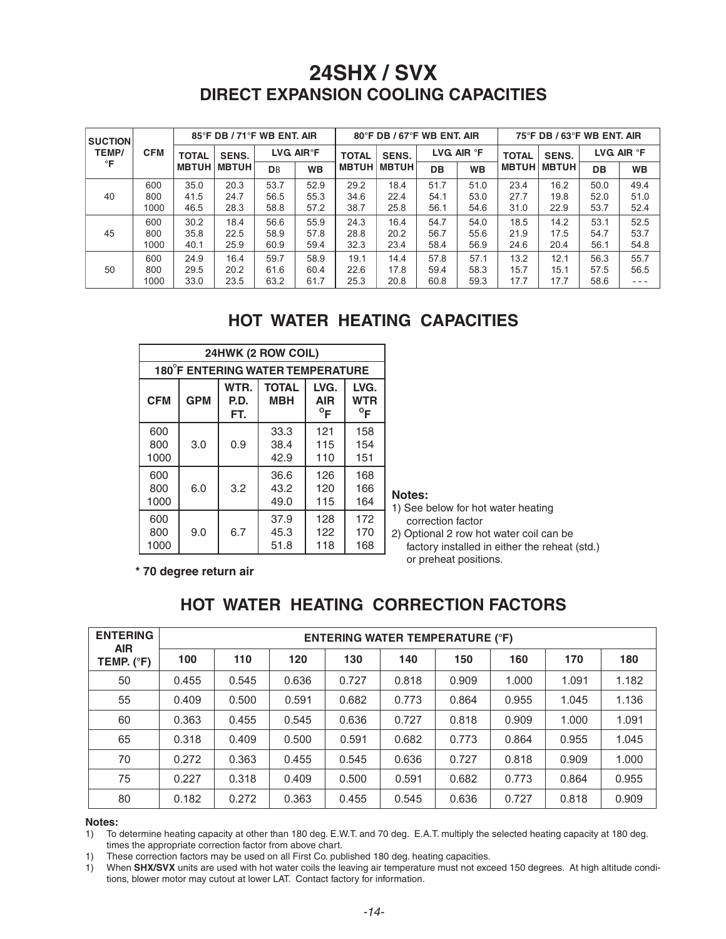| <b>SUCTION</b> |            |              | 85°F DB / 71°F WB ENT. AIR |           |                        |              | $80^\circ$ F DB / 67 $^\circ$ F WB ENT. AIR |           |                     |              | 75°F DB / 63°F WB ENT. AIR |      |                     |
|----------------|------------|--------------|----------------------------|-----------|------------------------|--------------|---------------------------------------------|-----------|---------------------|--------------|----------------------------|------|---------------------|
| TEMP/          | <b>CFM</b> | <b>TOTAL</b> | SENS.                      |           | LVG AIR <sup>®</sup> F | <b>TOTAL</b> | SENS.                                       |           | LVG AIR $\degree$ F | <b>TOTAL</b> | SENS.                      |      | LVG AIR $\degree$ F |
| °F             |            | <b>MBTUH</b> | <b>MBTUH</b>               | <b>DB</b> | <b>WB</b>              | <b>MBTUH</b> | <b>MBTUH</b>                                | <b>DB</b> | <b>WB</b>           | <b>MBTUH</b> | <b>MBTUH</b>               | DB   | <b>WB</b>           |
|                | 600        | 35.0         | 20.3                       | 53.7      | 52.9                   | 29.2         | 18.4                                        | 51.7      | 51.0                | 23.4         | 16.2                       | 50.0 | 49.4                |
| 40             | 800        | 41.5         | 24.7                       | 56.5      | 55.3                   | 34.6         | 22.4                                        | 54.1      | 53.0                | 27.7         | 19.8                       | 52.0 | 51.0                |
|                | 1000       | 46.5         | 28.3                       | 58.8      | 57.2                   | 38.7         | 25.8                                        | 56.1      | 54.6                | 31.0         | 22.9                       | 53.7 | 52.4                |
|                | 600        | 30.2         | 18.4                       | 56.6      | 55.9                   | 24.3         | 16.4                                        | 54.7      | 54.0                | 18.5         | 14.2                       | 53.1 | 52.5                |
| 45             | 800        | 35.8         | 22.5                       | 58.9      | 57.8                   | 28.8         | 20.2                                        | 56.7      | 55.6                | 21.9         | 17.5                       | 54.7 | 53.7                |
|                | 1000       | 40.1         | 25.9                       | 60.9      | 59.4                   | 32.3         | 23.4                                        | 58.4      | 56.9                | 24.6         | 20.4                       | 56.1 | 54.8                |
|                | 600        | 24.9         | 16.4                       | 59.7      | 58.9                   | 19.1         | 14.4                                        | 57.8      | 57.1                | 13.2         | 12.1                       | 56.3 | 55.7                |
| 50             | 800        | 29.5         | 20.2                       | 61.6      | 60.4                   | 22.6         | 17.8                                        | 59.4      | 58.3                | 15.7         | 15.1                       | 57.5 | 56.5                |
|                | 1000       | 33.0         | 23.5                       | 63.2      | 61.7                   | 25.3         | 20.8                                        | 60.8      | 59.3                | 17.7         | 17.7                       | 58.6 | $- - -$             |

#### **HOT WATER HEATING CAPACITIES**

|                    |            |                     | 24HWK (2 ROW COIL)               |                                    |                                    |
|--------------------|------------|---------------------|----------------------------------|------------------------------------|------------------------------------|
|                    |            |                     | 180°F ENTERING WATER TEMPERATURE |                                    |                                    |
| <b>CFM</b>         | <b>GPM</b> | WTR.<br>P.D.<br>FT. | <b>TOTAL</b><br><b>MBH</b>       | LVG.<br><b>AIR</b><br>$^{\circ}$ F | LVG.<br><b>WTR</b><br>$^{\circ}$ F |
| 600<br>800<br>1000 | 3.0        | 0.9                 | 33.3<br>38.4<br>42.9             | 121<br>115<br>110                  | 158<br>154<br>151                  |
| 600<br>800<br>1000 | 6.0        | 3.2                 | 36.6<br>43.2<br>49.0             | 126<br>120<br>115                  | 168<br>166<br>164                  |
| 600<br>800<br>1000 | 9.0        | 6.7                 | 37.9<br>45.3<br>51.8             | 128<br>122<br>118                  | 172<br>170<br>168                  |

#### Notes:

1) See below for hot water heating correction factor

2) Optional 2 row hot water coil can be factory installed in either the reheat (std.) or preheat positions.

\* 70 degree return air

#### **HOT WATER HEATING CORRECTION FACTORS**

| <b>ENTERING</b>          |       |       |       | <b>ENTERING WATER TEMPERATURE (°F)</b> |       |       |       |       |       |
|--------------------------|-------|-------|-------|----------------------------------------|-------|-------|-------|-------|-------|
| <b>AIR</b><br>TEMP. (°F) | 100   | 110   | 120   | 130                                    | 140   | 150   | 160   | 170   | 180   |
| 50                       | 0.455 | 0.545 | 0.636 | 0.727                                  | 0.818 | 0.909 | 1.000 | 1.091 | 1.182 |
| 55                       | 0.409 | 0.500 | 0.591 | 0.682                                  | 0.773 | 0.864 | 0.955 | 1.045 | 1.136 |
| 60                       | 0.363 | 0.455 | 0.545 | 0.636                                  | 0.727 | 0.818 | 0.909 | 1.000 | 1.091 |
| 65                       | 0.318 | 0.409 | 0.500 | 0.591                                  | 0.682 | 0.773 | 0.864 | 0.955 | 1.045 |
| 70                       | 0.272 | 0.363 | 0.455 | 0.545                                  | 0.636 | 0.727 | 0.818 | 0.909 | 1.000 |
| 75                       | 0.227 | 0.318 | 0.409 | 0.500                                  | 0.591 | 0.682 | 0.773 | 0.864 | 0.955 |
| 80                       | 0.182 | 0.272 | 0.363 | 0.455                                  | 0.545 | 0.636 | 0.727 | 0.818 | 0.909 |

#### Notes:

1) To determine heating capacity at other than 180 deg. E.W.T. and 70 deg. E.A.T. multiply the selected heating capacity at 180 deg. times the appropriate correction factor from above chart.

1) These correction factors may be used on all First Co. published 180 deg. heating capacities.

1) When SHX/SVX units are used with hot water coils the leaving air temperature must not exceed 150 degrees. At high altitude conditions, blower motor may cutout at lower LAT. Contact factory for information.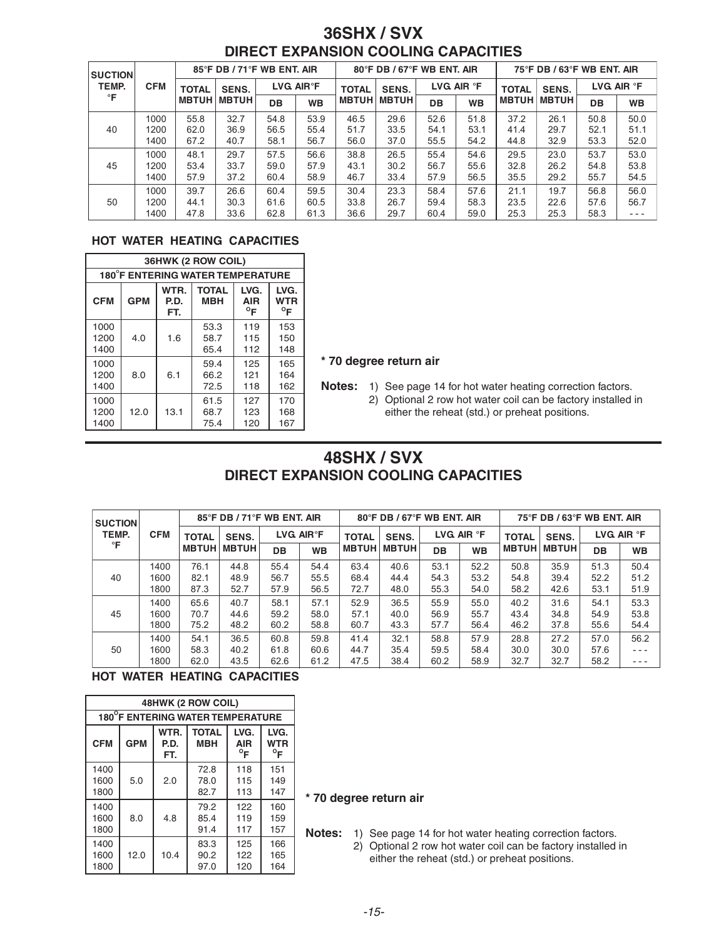| <b>SUCTION</b> |            | 85°F DB / 71°F WB ENT. AIR |              |                         |           | 80°F DB / 67°F WB ENT. AIR |              |                   |           | $75^{\circ}$ F DB / 63 $^{\circ}$ F WB ENT. AIR |              |                   |           |
|----------------|------------|----------------------------|--------------|-------------------------|-----------|----------------------------|--------------|-------------------|-----------|-------------------------------------------------|--------------|-------------------|-----------|
| TEMP.<br>°F    | <b>CFM</b> | <b>TOTAL</b>               | SENS.        | LVG. AIR <sup>°</sup> F |           | <b>TOTAL</b>               | SENS.        | LVG AIR <b>°F</b> |           | <b>TOTAL</b>                                    | SENS.        | LVG AIR <b>°F</b> |           |
|                |            | <b>MBTUH</b>               | <b>MBTUH</b> | DB                      | <b>WB</b> | <b>MBTUH</b>               | <b>MBTUH</b> | DB                | <b>WB</b> | <b>MBTUH</b>                                    | <b>MBTUH</b> | DB                | <b>WB</b> |
|                | 1000       | 55.8                       | 32.7         | 54.8                    | 53.9      | 46.5                       | 29.6         | 52.6              | 51.8      | 37.2                                            | 26.1         | 50.8              | 50.0      |
| 40             | 1200       | 62.0                       | 36.9         | 56.5                    | 55.4      | 51.7                       | 33.5         | 54.1              | 53.1      | 41.4                                            | 29.7         | 52.1              | 51.1      |
|                | 1400       | 67.2                       | 40.7         | 58.1                    | 56.7      | 56.0                       | 37.0         | 55.5              | 54.2      | 44.8                                            | 32.9         | 53.3              | 52.0      |
|                | 1000       | 48.1                       | 29.7         | 57.5                    | 56.6      | 38.8                       | 26.5         | 55.4              | 54.6      | 29.5                                            | 23.0         | 53.7              | 53.0      |
| 45             | 1200       | 53.4                       | 33.7         | 59.0                    | 57.9      | 43.1                       | 30.2         | 56.7              | 55.6      | 32.8                                            | 26.2         | 54.8              | 53.8      |
|                | 1400       | 57.9                       | 37.2         | 60.4                    | 58.9      | 46.7                       | 33.4         | 57.9              | 56.5      | 35.5                                            | 29.2         | 55.7              | 54.5      |
|                | 1000       | 39.7                       | 26.6         | 60.4                    | 59.5      | 30.4                       | 23.3         | 58.4              | 57.6      | 21.1                                            | 19.7         | 56.8              | 56.0      |
| 50             | 1200       | 44.1                       | 30.3         | 61.6                    | 60.5      | 33.8                       | 26.7         | 59.4              | 58.3      | 23.5                                            | 22.6         | 57.6              | 56.7      |
|                | 1400       | 47.8                       | 33.6         | 62.8                    | 61.3      | 36.6                       | 29.7         | 60.4              | 59.0      | 25.3                                            | 25.3         | 58.3              | $- - -$   |

#### **HOT WATER HEATING CAPACITIES**

|                                         | 36HWK (2 ROW COIL) |                                    |                                    |                   |                   |  |  |  |  |  |  |  |
|-----------------------------------------|--------------------|------------------------------------|------------------------------------|-------------------|-------------------|--|--|--|--|--|--|--|
| <b>180°F ENTERING WATER TEMPERATURE</b> |                    |                                    |                                    |                   |                   |  |  |  |  |  |  |  |
| <b>CFM</b>                              | <b>GPM</b>         | LVG.<br><b>AIR</b><br>$^{\circ}$ F | LVG.<br><b>WTR</b><br>$^{\circ}$ F |                   |                   |  |  |  |  |  |  |  |
| 1000<br>1200<br>1400                    | 4.0                | 1.6                                | 53.3<br>58.7<br>65.4               | 119<br>115<br>112 | 153<br>150<br>148 |  |  |  |  |  |  |  |
| 1000<br>1200<br>1400                    | 8.0                | 6.1                                | 59.4<br>66.2<br>72.5               | 125<br>121<br>118 | 165<br>164<br>162 |  |  |  |  |  |  |  |
| 1000<br>1200<br>1400                    | 12.0               | 13.1                               | 61.5<br>68.7<br>75.4               | 127<br>123<br>120 | 170<br>168<br>167 |  |  |  |  |  |  |  |

#### \* 70 degree return air

Notes: 1) See page 14 for hot water heating correction factors.

2) Optional 2 row hot water coil can be factory installed in either the reheat (std.) or preheat positions.

#### 48SHX / SVX **DIRECT EXPANSION COOLING CAPACITIES**

| <b>SUCTION</b> |            |              | 85°F DB / 71°F WB ENT. AIR |      |                        |              | 80°F DB / 67°F WB ENT. AIR |                          |           |              | $75^{\circ}$ F DB / 63 $^{\circ}$ F WB ENT. AIR |                        |           |  |
|----------------|------------|--------------|----------------------------|------|------------------------|--------------|----------------------------|--------------------------|-----------|--------------|-------------------------------------------------|------------------------|-----------|--|
| TEMP.          | <b>CFM</b> | <b>TOTAL</b> | SENS.                      |      | LVG AIR <sup>®</sup> F |              | SENS.                      | $LVG$ AIR ${}^{\circ}$ F |           | <b>TOTAL</b> | SENS.                                           | LVG AIR ${}^{\circ}$ F |           |  |
| °F             |            | <b>MBTUH</b> | <b>MBTUH</b>               | DB   | <b>WB</b>              | <b>MBTUH</b> | <b>MBTUH</b>               | DB                       | <b>WB</b> | <b>MBTUH</b> | <b>MBTUH</b>                                    | DB                     | <b>WB</b> |  |
|                | 1400       | 76.1         | 44.8                       | 55.4 | 54.4                   | 63.4         | 40.6                       | 53.1                     | 52.2      | 50.8         | 35.9                                            | 51.3                   | 50.4      |  |
| 40             | 1600       | 82.1         | 48.9                       | 56.7 | 55.5                   | 68.4         | 44.4                       | 54.3                     | 53.2      | 54.8         | 39.4                                            | 52.2                   | 51.2      |  |
|                | 1800       | 87.3         | 52.7                       | 57.9 | 56.5                   | 72.7         | 48.0                       | 55.3                     | 54.0      | 58.2         | 42.6                                            | 53.1                   | 51.9      |  |
|                | 1400       | 65.6         | 40.7                       | 58.1 | 57.1                   | 52.9         | 36.5                       | 55.9                     | 55.0      | 40.2         | 31.6                                            | 54.1                   | 53.3      |  |
| 45             | 1600       | 70.7         | 44.6                       | 59.2 | 58.0                   | 57.1         | 40.0                       | 56.9                     | 55.7      | 43.4         | 34.8                                            | 54.9                   | 53.8      |  |
|                | 1800       | 75.2         | 48.2                       | 60.2 | 58.8                   | 60.7         | 43.3                       | 57.7                     | 56.4      | 46.2         | 37.8                                            | 55.6                   | 54.4      |  |
|                | 1400       | 54.1         | 36.5                       | 60.8 | 59.8                   | 41.4         | 32.1                       | 58.8                     | 57.9      | 28.8         | 27.2                                            | 57.0                   | 56.2      |  |
| 50             | 1600       | 58.3         | 40.2                       | 61.8 | 60.6                   | 44.7         | 35.4                       | 59.5                     | 58.4      | 30.0         | 30.0                                            | 57.6                   | $- - -$   |  |
|                | 1800       | 62.0         | 43.5                       | 62.6 | 61.2                   | 47.5         | 38.4                       | 60.2                     | 58.9      | 32.7         | 32.7                                            | 58.2                   | $- - -$   |  |

#### HOT WATER HEATING CAPACITIES

| 48HWK (2 ROW COIL)               |            |                                                                                                                               |                      |                   |                   |  |  |  |  |  |  |  |  |
|----------------------------------|------------|-------------------------------------------------------------------------------------------------------------------------------|----------------------|-------------------|-------------------|--|--|--|--|--|--|--|--|
| 180°F ENTERING WATER TEMPERATURE |            |                                                                                                                               |                      |                   |                   |  |  |  |  |  |  |  |  |
| <b>CFM</b>                       | <b>GPM</b> | WTR.<br><b>TOTAL</b><br>LVG.<br>LVG.<br><b>WTR</b><br><b>MBH</b><br>P.D.<br><b>AIR</b><br>$^{\circ}$ F<br>$^{\circ}$ F<br>FT. |                      |                   |                   |  |  |  |  |  |  |  |  |
| 1400<br>1600<br>1800             | 5.0        | 2.0                                                                                                                           | 72.8<br>78.0<br>82.7 | 118<br>115<br>113 | 151<br>149<br>147 |  |  |  |  |  |  |  |  |
| 1400<br>1600<br>1800             | 8.0        | 4.8                                                                                                                           | 79.2<br>85.4<br>91.4 | 122<br>119<br>117 | 160<br>159<br>157 |  |  |  |  |  |  |  |  |
| 1400<br>1600<br>1800             | 12.0       | 10.4                                                                                                                          | 83.3<br>90.2<br>97.0 | 125<br>122<br>120 | 166<br>165<br>164 |  |  |  |  |  |  |  |  |

#### \* 70 degree return air

Notes: 1) See page 14 for hot water heating correction factors.

2) Optional 2 row hot water coil can be factory installed in either the reheat (std.) or preheat positions.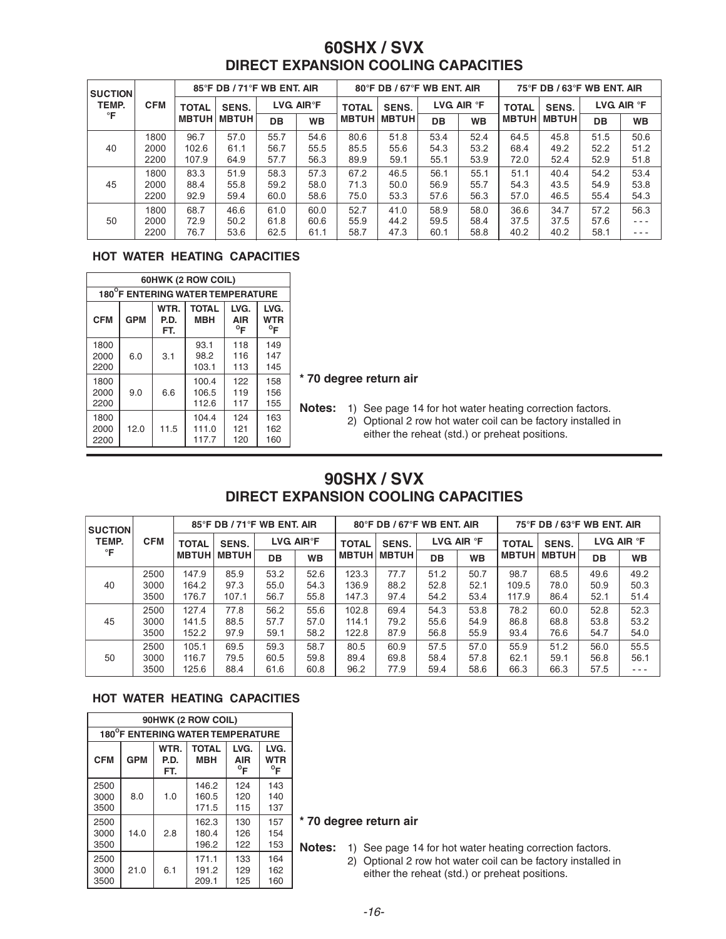| <b>SUCTION</b> |            |              | 85°F DB / 71°F WB ENT. AIR |                        |           |                       | 80°F DB / 67°F WB ENT. AIR |           |              |              | 75°F DB / 63°F WB ENT. AIR |      |           |  |
|----------------|------------|--------------|----------------------------|------------------------|-----------|-----------------------|----------------------------|-----------|--------------|--------------|----------------------------|------|-----------|--|
| TEMP.          | <b>CFM</b> | <b>TOTAL</b> | SENS.                      | LVG AIR <sup>®</sup> F |           | SENS.<br><b>TOTAL</b> | LVG AIR $\degree$ F        |           | <b>TOTAL</b> | SENS.        | LVG AIR $\degree$ F        |      |           |  |
| °F             |            | <b>MBTUH</b> | <b>MBTUH</b>               | DB                     | <b>WB</b> | <b>MBTUH</b>          | <b>MBTUH</b>               | <b>DB</b> | <b>WB</b>    | <b>MBTUH</b> | <b>MBTUH</b>               | DB   | <b>WB</b> |  |
|                | 1800       | 96.7         | 57.0                       | 55.7                   | 54.6      | 80.6                  | 51.8                       | 53.4      | 52.4         | 64.5         | 45.8                       | 51.5 | 50.6      |  |
| 40             | 2000       | 102.6        | 61.1                       | 56.7                   | 55.5      | 85.5                  | 55.6                       | 54.3      | 53.2         | 68.4         | 49.2                       | 52.2 | 51.2      |  |
|                | 2200       | 107.9        | 64.9                       | 57.7                   | 56.3      | 89.9                  | 59.1                       | 55.1      | 53.9         | 72.0         | 52.4                       | 52.9 | 51.8      |  |
|                | 1800       | 83.3         | 51.9                       | 58.3                   | 57.3      | 67.2                  | 46.5                       | 56.1      | 55.1         | 51.1         | 40.4                       | 54.2 | 53.4      |  |
| 45             | 2000       | 88.4         | 55.8                       | 59.2                   | 58.0      | 71.3                  | 50.0                       | 56.9      | 55.7         | 54.3         | 43.5                       | 54.9 | 53.8      |  |
|                | 2200       | 92.9         | 59.4                       | 60.0                   | 58.6      | 75.0                  | 53.3                       | 57.6      | 56.3         | 57.0         | 46.5                       | 55.4 | 54.3      |  |
|                | 1800       | 68.7         | 46.6                       | 61.0                   | 60.0      | 52.7                  | 41.0                       | 58.9      | 58.0         | 36.6         | 34.7                       | 57.2 | 56.3      |  |
| 50             | 2000       | 72.9         | 50.2                       | 61.8                   | 60.6      | 55.9                  | 44.2                       | 59.5      | 58.4         | 37.5         | 37.5                       | 57.6 | $- - -$   |  |
|                | 2200       | 76.7         | 53.6                       | 62.5                   | 61.1      | 58.7                  | 47.3                       | 60.1      | 58.8         | 40.2         | 40.2                       | 58.1 | $- - -$   |  |

#### HOT WATER HEATING CAPACITIES

| 60HWK (2 ROW COIL)                                                                                                                                        |     |     |                         |                   |                   |  |  |  |  |  |  |  |
|-----------------------------------------------------------------------------------------------------------------------------------------------------------|-----|-----|-------------------------|-------------------|-------------------|--|--|--|--|--|--|--|
| 180°F ENTERING WATER TEMPERATURE                                                                                                                          |     |     |                         |                   |                   |  |  |  |  |  |  |  |
| WTR.<br><b>TOTAL</b><br>LVG.<br>LVG.<br><b>CFM</b><br><b>GPM</b><br><b>WTR</b><br><b>MBH</b><br>P.D.<br><b>AIR</b><br>$^{\circ}$ F<br>$^{\circ}$ F<br>FT. |     |     |                         |                   |                   |  |  |  |  |  |  |  |
| 1800<br>2000<br>2200                                                                                                                                      | 6.0 | 3.1 | 93.1<br>98.2<br>103.1   | 118<br>116<br>113 | 149<br>147<br>145 |  |  |  |  |  |  |  |
| 1800<br>2000<br>2200                                                                                                                                      | 9.0 | 6.6 | 100.4<br>106.5<br>112.6 | 122<br>119<br>117 | 158<br>156<br>155 |  |  |  |  |  |  |  |
| 1800<br>124<br>104.4<br>163<br>12.0<br>11.5<br>2000<br>111.0<br>121<br>162<br>2200<br>120<br>117.7<br>160                                                 |     |     |                         |                   |                   |  |  |  |  |  |  |  |

#### \* 70 degree return air

Notes: 1) See page 14 for hot water heating correction factors.

2) Optional 2 row hot water coil can be factory installed in either the reheat (std.) or preheat positions.

#### 90SHX / SVX **DIRECT EXPANSION COOLING CAPACITIES**

| <b>SUCTION</b> |            |              | 85°F DB / 71°F WB ENT. AIR |           |                        |              | $80^\circ$ F DB / 67 $^\circ$ F WB ENT. AIR |      |                     |              | 75°F DB / 63°F WB ENT. AIR |                        |           |  |
|----------------|------------|--------------|----------------------------|-----------|------------------------|--------------|---------------------------------------------|------|---------------------|--------------|----------------------------|------------------------|-----------|--|
| TEMP.          | <b>CFM</b> | <b>TOTAL</b> | SENS.                      |           | LVG AIR <sup>®</sup> F |              | SENS.<br><b>TOTAL</b>                       |      | LVG AIR $\degree$ F | <b>TOTAL</b> | SENS.                      | LVG AIR ${}^{\circ}$ F |           |  |
| °F             |            | <b>MBTUH</b> | <b>MBTUH</b>               | <b>DB</b> | <b>WB</b>              | <b>MBTUH</b> | <b>MBTUH</b>                                | DB   | <b>WB</b>           | <b>MBTUH</b> | <b>MBTUH</b>               | DB                     | <b>WB</b> |  |
|                | 2500       | 147.9        | 85.9                       | 53.2      | 52.6                   | 123.3        | 77.7                                        | 51.2 | 50.7                | 98.7         | 68.5                       | 49.6                   | 49.2      |  |
| 40             | 3000       | 164.2        | 97.3                       | 55.0      | 54.3                   | 136.9        | 88.2                                        | 52.8 | 52.1                | 109.5        | 78.0                       | 50.9                   | 50.3      |  |
|                | 3500       | 176.7        | 107.1                      | 56.7      | 55.8                   | 147.3        | 97.4                                        | 54.2 | 53.4                | 117.9        | 86.4                       | 52.1                   | 51.4      |  |
|                | 2500       | 127.4        | 77.8                       | 56.2      | 55.6                   | 102.8        | 69.4                                        | 54.3 | 53.8                | 78.2         | 60.0                       | 52.8                   | 52.3      |  |
| 45             | 3000       | 141.5        | 88.5                       | 57.7      | 57.0                   | 114.1        | 79.2                                        | 55.6 | 54.9                | 86.8         | 68.8                       | 53.8                   | 53.2      |  |
|                | 3500       | 152.2        | 97.9                       | 59.1      | 58.2                   | 122.8        | 87.9                                        | 56.8 | 55.9                | 93.4         | 76.6                       | 54.7                   | 54.0      |  |
|                | 2500       | 105.1        | 69.5                       | 59.3      | 58.7                   | 80.5         | 60.9                                        | 57.5 | 57.0                | 55.9         | 51.2                       | 56.0                   | 55.5      |  |
| 50             | 3000       | 116.7        | 79.5                       | 60.5      | 59.8                   | 89.4         | 69.8                                        | 58.4 | 57.8                | 62.1         | 59.1                       | 56.8                   | 56.1      |  |
|                | 3500       | 125.6        | 88.4                       | 61.6      | 60.8                   | 96.2         | 77.9                                        | 59.4 | 58.6                | 66.3         | 66.3                       | 57.5                   | $- - -$   |  |

#### **HOT WATER HEATING CAPACITIES**

| 90HWK (2 ROW COIL)               |                                                                                                                                             |     |                         |                   |                   |              |  |  |  |  |  |  |
|----------------------------------|---------------------------------------------------------------------------------------------------------------------------------------------|-----|-------------------------|-------------------|-------------------|--------------|--|--|--|--|--|--|
| 180°F ENTERING WATER TEMPERATURE |                                                                                                                                             |     |                         |                   |                   |              |  |  |  |  |  |  |
| <b>CFM</b>                       | WTR.<br><b>TOTAL</b><br>LVG.<br>LVG.<br><b>GPM</b><br><b>WTR</b><br><b>MBH</b><br>P.D.<br><b>AIR</b><br>$^{\circ}$ F<br>$^{\circ}$ F<br>FT. |     |                         |                   |                   |              |  |  |  |  |  |  |
| 2500<br>3000<br>3500             | 8.0                                                                                                                                         | 1.0 | 146.2<br>160.5<br>171.5 | 124<br>120<br>115 | 143<br>140<br>137 |              |  |  |  |  |  |  |
| 2500<br>3000<br>3500             | 14.0                                                                                                                                        | 2.8 | 162.3<br>180.4<br>196.2 | 130<br>126<br>122 | 157<br>154<br>153 | $\star$<br>Ν |  |  |  |  |  |  |
| 2500<br>3000<br>3500             | 21.0                                                                                                                                        | 6.1 | 171.1<br>191.2<br>209.1 | 133<br>129<br>125 | 164<br>162<br>160 |              |  |  |  |  |  |  |

#### 70 degree return air

**lotes:** 1) See page 14 for hot water heating correction factors. 2) Optional 2 row hot water coil can be factory installed in either the reheat (std.) or preheat positions.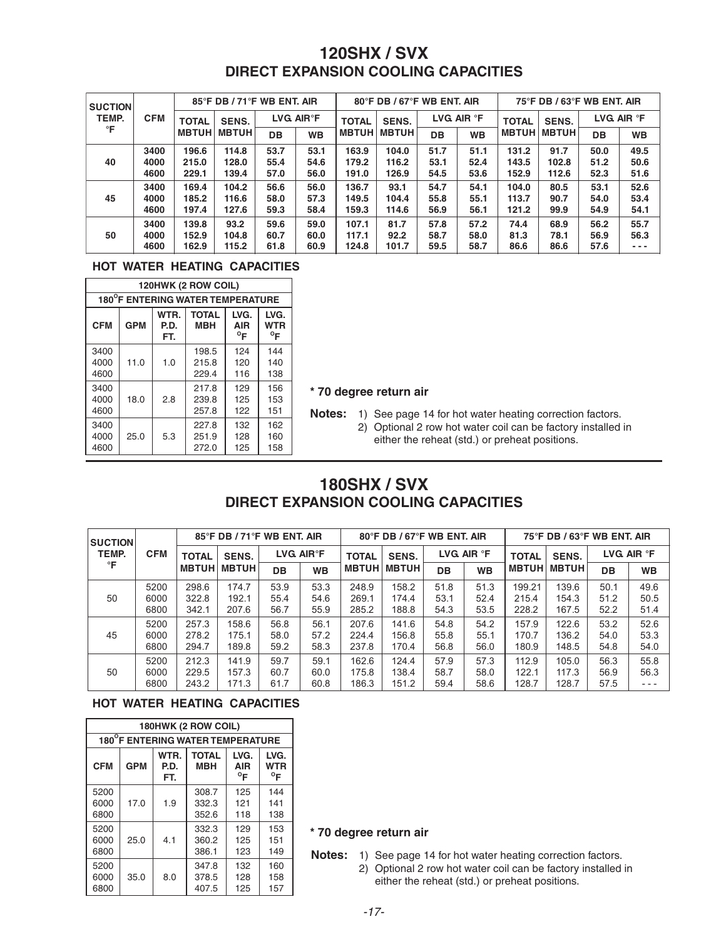| <b>SUCTION</b>            |              |              | 85°F DB / 71°F WB ENT. AIR |           |                                       |              | 80°F DB / 67°F WB ENT. AIR |           |                  |              | 75°F DB / 63°F WB ENT. AIR |            |         |  |
|---------------------------|--------------|--------------|----------------------------|-----------|---------------------------------------|--------------|----------------------------|-----------|------------------|--------------|----------------------------|------------|---------|--|
| TEMP.<br><b>CFM</b><br>°F |              | <b>TOTAL</b> | SENS.                      |           | $LVG$ AIR $\degree$ F<br><b>TOTAL</b> |              | SENS.                      |           | LVG AIR <b>F</b> | <b>TOTAL</b> | <b>SENS.</b>               | LVG AIR °F |         |  |
|                           | <b>MBTUH</b> | <b>MBTUH</b> | DB                         | <b>WB</b> | <b>MBTUH</b>                          | <b>MBTUH</b> | <b>DB</b>                  | <b>WB</b> | <b>MBTUH</b>     | <b>MBTUH</b> | DB                         | <b>WB</b>  |         |  |
|                           | 3400         | 196.6        | 114.8                      | 53.7      | 53.1                                  | 163.9        | 104.0                      | 51.7      | 51.1             | 131.2        | 91.7                       | 50.0       | 49.5    |  |
| 40                        | 4000         | 215.0        | 128.0                      | 55.4      | 54.6                                  | 179.2        | 116.2                      | 53.1      | 52.4             | 143.5        | 102.8                      | 51.2       | 50.6    |  |
|                           | 4600         | 229.1        | 139.4                      | 57.0      | 56.0                                  | 191.0        | 126.9                      | 54.5      | 53.6             | 152.9        | 112.6                      | 52.3       | 51.6    |  |
|                           | 3400         | 169.4        | 104.2                      | 56.6      | 56.0                                  | 136.7        | 93.1                       | 54.7      | 54.1             | 104.0        | 80.5                       | 53.1       | 52.6    |  |
| 45                        | 4000         | 185.2        | 116.6                      | 58.0      | 57.3                                  | 149.5        | 104.4                      | 55.8      | 55.1             | 113.7        | 90.7                       | 54.0       | 53.4    |  |
|                           | 4600         | 197.4        | 127.6                      | 59.3      | 58.4                                  | 159.3        | 114.6                      | 56.9      | 56.1             | 121.2        | 99.9                       | 54.9       | 54.1    |  |
|                           | 3400         | 139.8        | 93.2                       | 59.6      | 59.0                                  | 107.1        | 81.7                       | 57.8      | 57.2             | 74.4         | 68.9                       | 56.2       | 55.7    |  |
| 50                        | 4000         | 152.9        | 104.8                      | 60.7      | 60.0                                  | 117.1        | 92.2                       | 58.7      | 58.0             | 81.3         | 78.1                       | 56.9       | 56.3    |  |
|                           | 4600         | 162.9        | 115.2                      | 61.8      | 60.9                                  | 124.8        | 101.7                      | 59.5      | 58.7             | 86.6         | 86.6                       | 57.6       | $- - -$ |  |

#### **HOT WATER HEATING CAPACITIES**

|                                                                                                                                                           | 120HWK (2 ROW COIL)              |     |                         |                   |                   |  |  |  |  |  |  |  |
|-----------------------------------------------------------------------------------------------------------------------------------------------------------|----------------------------------|-----|-------------------------|-------------------|-------------------|--|--|--|--|--|--|--|
|                                                                                                                                                           | 180°F ENTERING WATER TEMPERATURE |     |                         |                   |                   |  |  |  |  |  |  |  |
| LVG.<br>WTR.<br><b>TOTAL</b><br>LVG.<br><b>CFM</b><br><b>GPM</b><br><b>MBH</b><br><b>WTR</b><br>P.D.<br><b>AIR</b><br>$^{\circ}$ F<br>$^{\circ}$ F<br>FT. |                                  |     |                         |                   |                   |  |  |  |  |  |  |  |
| 3400<br>4000<br>4600                                                                                                                                      | 11.0                             | 1.0 | 198.5<br>215.8<br>229.4 | 124<br>120<br>116 | 144<br>140<br>138 |  |  |  |  |  |  |  |
| 3400<br>4000<br>4600                                                                                                                                      | 18.0                             | 2.8 | 217.8<br>239.8<br>257.8 | 129<br>125<br>122 | 156<br>153<br>151 |  |  |  |  |  |  |  |
| 3400<br>4000<br>4600                                                                                                                                      | 25.0                             | 5.3 | 227.8<br>251.9<br>272.0 | 132<br>128<br>125 | 162<br>160<br>158 |  |  |  |  |  |  |  |

#### \* 70 degree return air

Notes: 1) See page 14 for hot water heating correction factors.

2) Optional 2 row hot water coil can be factory installed in either the reheat (std.) or preheat positions.

#### **180SHX/SVX DIRECT EXPANSION COOLING CAPACITIES**

| <b>SUCTION</b><br>TEMP.<br>°F |            |              | 85°F DB / 71°F WB ENT. AIR |                        |           |                              | $80^\circ$ F DB / 67 $^\circ$ F WB ENT. AIR |           |              |              | 75°F DB / 63°F WB ENT. AIR |      |           |  |
|-------------------------------|------------|--------------|----------------------------|------------------------|-----------|------------------------------|---------------------------------------------|-----------|--------------|--------------|----------------------------|------|-----------|--|
|                               | <b>CFM</b> | <b>TOTAL</b> | SENS.                      | LVG AIR <sup>°</sup> F |           | <b>SENS.</b><br><b>TOTAL</b> | LVG AIR $\degree$ F                         |           | <b>TOTAL</b> | SENS.        | LVG AIR <b>F</b>           |      |           |  |
|                               |            | <b>MBTUH</b> | <b>MBTUH</b>               | <b>DB</b>              | <b>WB</b> | <b>MBTUH</b>                 | <b>MBTUH</b>                                | <b>DB</b> | <b>WB</b>    | <b>MBTUH</b> | <b>MBTUH</b>               | DB   | <b>WB</b> |  |
|                               | 5200       | 298.6        | 174.7                      | 53.9                   | 53.3      | 248.9                        | 158.2                                       | 51.8      | 51.3         | 199.21       | 139.6                      | 50.1 | 49.6      |  |
| 50                            | 6000       | 322.8        | 192.1                      | 55.4                   | 54.6      | 269.1                        | 174.4                                       | 53.1      | 52.4         | 215.4        | 154.3                      | 51.2 | 50.5      |  |
|                               | 6800       | 342.1        | 207.6                      | 56.7                   | 55.9      | 285.2                        | 188.8                                       | 54.3      | 53.5         | 228.2        | 167.5                      | 52.2 | 51.4      |  |
|                               | 5200       | 257.3        | 158.6                      | 56.8                   | 56.1      | 207.6                        | 141.6                                       | 54.8      | 54.2         | 157.9        | 122.6                      | 53.2 | 52.6      |  |
| 45                            | 6000       | 278.2        | 175.1                      | 58.0                   | 57.2      | 224.4                        | 156.8                                       | 55.8      | 55.1         | 170.7        | 136.2                      | 54.0 | 53.3      |  |
|                               | 6800       | 294.7        | 189.8                      | 59.2                   | 58.3      | 237.8                        | 170.4                                       | 56.8      | 56.0         | 180.9        | 148.5                      | 54.8 | 54.0      |  |
|                               | 5200       | 212.3        | 141.9                      | 59.7                   | 59.1      | 162.6                        | 124.4                                       | 57.9      | 57.3         | 112.9        | 105.0                      | 56.3 | 55.8      |  |
| 50                            | 6000       | 229.5        | 157.3                      | 60.7                   | 60.0      | 175.8                        | 138.4                                       | 58.7      | 58.0         | 122.1        | 117.3                      | 56.9 | 56.3      |  |
|                               | 6800       | 243.2        | 171.3                      | 61.7                   | 60.8      | 186.3                        | 151.2                                       | 59.4      | 58.6         | 128.7        | 128.7                      | 57.5 | $- - -$   |  |

#### HOT WATER HEATING CAPACITIES

|                                  | 180HWK (2 ROW COIL)                                                                                                                         |     |                         |                   |                   |  |  |  |  |  |  |
|----------------------------------|---------------------------------------------------------------------------------------------------------------------------------------------|-----|-------------------------|-------------------|-------------------|--|--|--|--|--|--|
| 180°F ENTERING WATER TEMPERATURE |                                                                                                                                             |     |                         |                   |                   |  |  |  |  |  |  |
| <b>CFM</b>                       | LVG.<br><b>TOTAL</b><br>LVG.<br>WTR.<br><b>GPM</b><br><b>WTR</b><br><b>MBH</b><br>P.D.<br><b>AIR</b><br>$^{\circ}$ F<br>$^{\circ}$ F<br>FT. |     |                         |                   |                   |  |  |  |  |  |  |
| 5200<br>6000<br>6800             | 17.0                                                                                                                                        | 1.9 | 308.7<br>332.3<br>352.6 | 125<br>121<br>118 | 144<br>141<br>138 |  |  |  |  |  |  |
| 5200<br>6000<br>6800             | 25.0                                                                                                                                        | 4.1 | 332.3<br>360.2<br>386.1 | 129<br>125<br>123 | 153<br>151<br>149 |  |  |  |  |  |  |
| 5200<br>6000<br>6800             | 35.0                                                                                                                                        | 8.0 | 347.8<br>378.5<br>407.5 | 132<br>128<br>125 | 160<br>158<br>157 |  |  |  |  |  |  |

#### \* 70 degree return air

Notes: 1) See page 14 for hot water heating correction factors.

2) Optional 2 row hot water coil can be factory installed in either the reheat (std.) or preheat positions.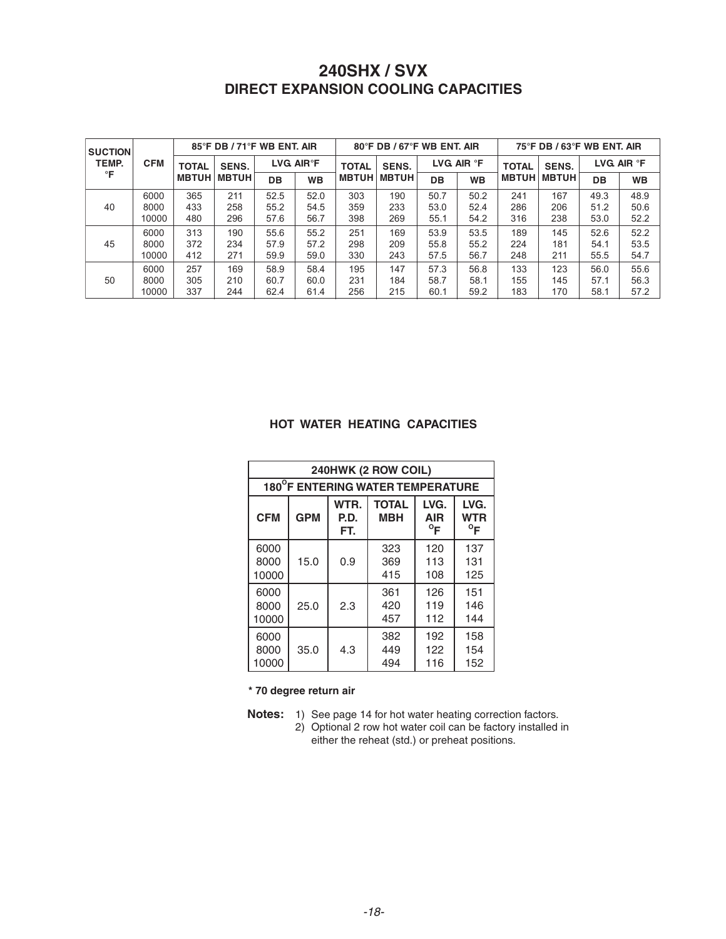| <b>SUCTION</b><br>TEMP.<br>°F | <b>CFM</b> | 85°F DB / 71°F WB ENT. AIR   |                              |                                           |           | 80°F DB / 67°F WB ENT. AIR |              |                   |           | $75^\circ$ F DB / 63 $^\circ$ F WB ENT. AIR |              |                   |           |
|-------------------------------|------------|------------------------------|------------------------------|-------------------------------------------|-----------|----------------------------|--------------|-------------------|-----------|---------------------------------------------|--------------|-------------------|-----------|
|                               |            | <b>TOTAL</b><br><b>MBTUH</b> | <b>SENS.</b><br><b>MBTUH</b> | $\mathsf{LVG}\,\,$ AIR $^\circ\mathsf{F}$ |           | <b>TOTAL</b>               | <b>SENS.</b> | LVG AIR <b>°F</b> |           | <b>TOTAL</b>                                | <b>SENS.</b> | LVG AIR <b>°F</b> |           |
|                               |            |                              |                              | <b>DB</b>                                 | <b>WB</b> | <b>MBTUH</b>               | <b>MBTUH</b> | DB                | <b>WB</b> | <b>MBTUH</b>                                | <b>MBTUH</b> | DB                | <b>WB</b> |
| 40                            | 6000       | 365                          | 211                          | 52.5                                      | 52.0      | 303                        | 190          | 50.7              | 50.2      | 241                                         | 167          | 49.3              | 48.9      |
|                               | 8000       | 433                          | 258                          | 55.2                                      | 54.5      | 359                        | 233          | 53.0              | 52.4      | 286                                         | 206          | 51.2              | 50.6      |
|                               | 10000      | 480                          | 296                          | 57.6                                      | 56.7      | 398                        | 269          | 55.1              | 54.2      | 316                                         | 238          | 53.0              | 52.2      |
| 45                            | 6000       | 313                          | 190                          | 55.6                                      | 55.2      | 251                        | 169          | 53.9              | 53.5      | 189                                         | 145          | 52.6              | 52.2      |
|                               | 8000       | 372                          | 234                          | 57.9                                      | 57.2      | 298                        | 209          | 55.8              | 55.2      | 224                                         | 181          | 54.1              | 53.5      |
|                               | 10000      | 412                          | 271                          | 59.9                                      | 59.0      | 330                        | 243          | 57.5              | 56.7      | 248                                         | 211          | 55.5              | 54.7      |
| 50                            | 6000       | 257                          | 169                          | 58.9                                      | 58.4      | 195                        | 147          | 57.3              | 56.8      | 133                                         | 123          | 56.0              | 55.6      |
|                               | 8000       | 305                          | 210                          | 60.7                                      | 60.0      | 231                        | 184          | 58.7              | 58.1      | 155                                         | 145          | 57.1              | 56.3      |
|                               | 10000      | 337                          | 244                          | 62.4                                      | 61.4      | 256                        | 215          | 60.1              | 59.2      | 183                                         | 170          | 58.1              | 57.2      |

#### HOT WATER HEATING CAPACITIES

| 240HWK (2 ROW COIL)              |            |                     |                            |                                    |                             |  |  |  |  |  |
|----------------------------------|------------|---------------------|----------------------------|------------------------------------|-----------------------------|--|--|--|--|--|
| 180°F ENTERING WATER TEMPERATURE |            |                     |                            |                                    |                             |  |  |  |  |  |
| <b>CFM</b>                       | <b>GPM</b> | WTR.<br>P.D.<br>FT. | <b>TOTAL</b><br><b>MBH</b> | LVG.<br><b>AIR</b><br>$^{\circ}$ F | LVG.<br>WTR<br>$^{\circ}$ F |  |  |  |  |  |
| 6000<br>8000<br>10000            | 15.0       | 0.9                 | 323<br>369<br>415          | 120<br>113<br>108                  | 137<br>131<br>125           |  |  |  |  |  |
| 6000<br>8000<br>10000            | 25.0       | 2.3                 | 361<br>420<br>457          | 126<br>119<br>112                  | 151<br>146<br>144           |  |  |  |  |  |
| 6000<br>8000<br>10000            | 35.0       | 4.3                 | 382<br>449<br>494          | 192<br>122<br>116                  | 158<br>154<br>152           |  |  |  |  |  |

\* 70 degree return air

- **Notes:** 1) See page 14 for hot water heating correction factors.<br>2) Optional 2 row hot water coil can be factory installed in
	- either the reheat (std.) or preheat positions.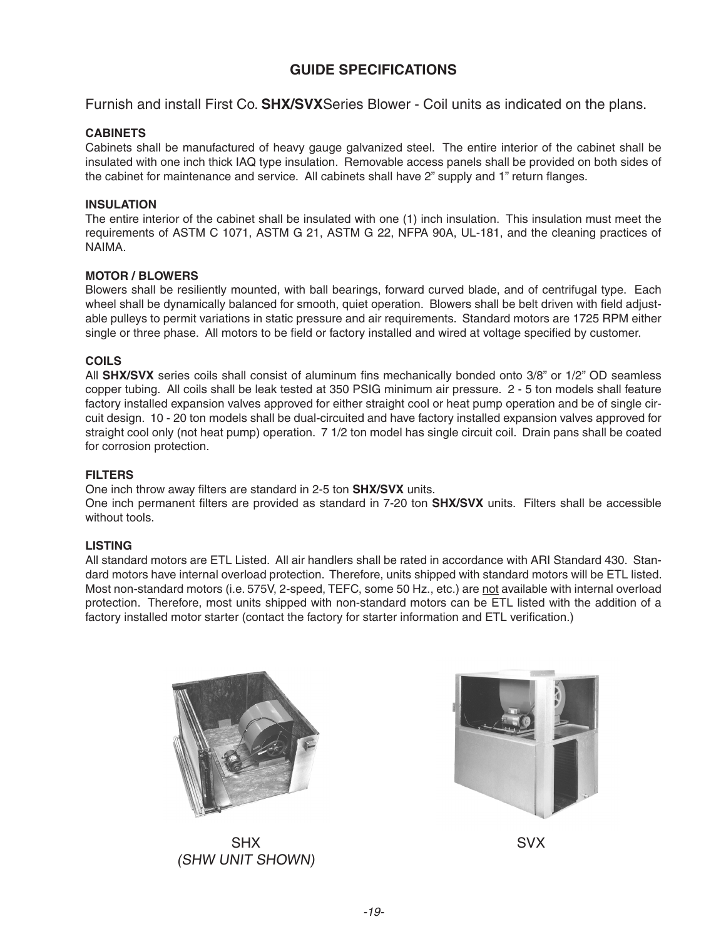#### **GUIDE SPECIFICATIONS**

Furnish and install First Co. **SHX/SVX**Series Blower - Coil units as indicated on the plans.

#### **CABINETS**

Cabinets shall be manufactured of heavy gauge galvanized steel. The entire interior of the cabinet shall be insulated with one inch thick IAQ type insulation. Removable access panels shall be provided on both sides of the cabinet for maintenance and service. All cabinets shall have 2" supply and 1" return flanges.

#### **INSULATION**

The entire interior of the cabinet shall be insulated with one (1) inch insulation. This insulation must meet the requirements of ASTM C 1071, ASTM G 21, ASTM G 22, NFPA 90A, UL-181, and the cleaning practices of NAIMA.

#### **MOTOR / BLOWERS**

Blowers shall be resiliently mounted, with ball bearings, forward curved blade, and of centrifugal type. Each wheel shall be dynamically balanced for smooth, quiet operation. Blowers shall be belt driven with field adjustable pulleys to permit variations in static pressure and air requirements. Standard motors are 1725 RPM either single or three phase. All motors to be field or factory installed and wired at voltage specified by customer.

#### **COILS**

All **SHX/SVX** series coils shall consist of aluminum fins mechanically bonded onto 3/8" or 1/2" OD seamless copper tubing. All coils shall be leak tested at 350 PSIG minimum air pressure. 2 - 5 ton models shall feature factory installed expansion valves approved for either straight cool or heat pump operation and be of single circuit design. 10 - 20 ton models shall be dual-circuited and have factory installed expansion valves approved for straight cool only (not heat pump) operation. 7 1/2 ton model has single circuit coil. Drain pans shall be coated for corrosion protection.

#### **FILTERS**

One inch throw away filters are standard in 2-5 ton **SHX/SVX** units.

One inch permanent filters are provided as standard in 7-20 ton **SHX/SVX** units. Filters shall be accessible without tools.

#### **LISTING**

All standard motors are ETL Listed. All air handlers shall be rated in accordance with ARI Standard 430. Standard motors have internal overload protection. Therefore, units shipped with standard motors will be ETL listed. Most non-standard motors (i.e. 575V, 2-speed, TEFC, some 50 Hz., etc.) are not available with internal overload protection. Therefore, most units shipped with non-standard motors can be ETL listed with the addition of a factory installed motor starter (contact the factory for starter information and ETL verification.)



SHX (SHW UNIT SHOWN)



SVX